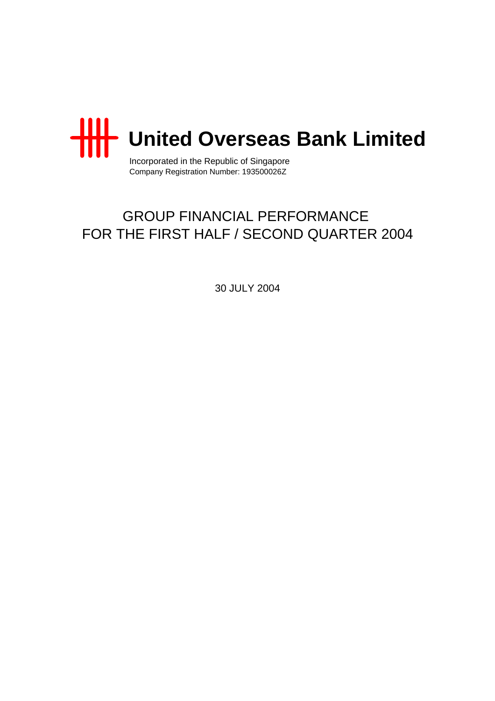

Incorporated in the Republic of Singapore Company Registration Number: 193500026Z

## GROUP FINANCIAL PERFORMANCE FOR THE FIRST HALF / SECOND QUARTER 2004

30 JULY 2004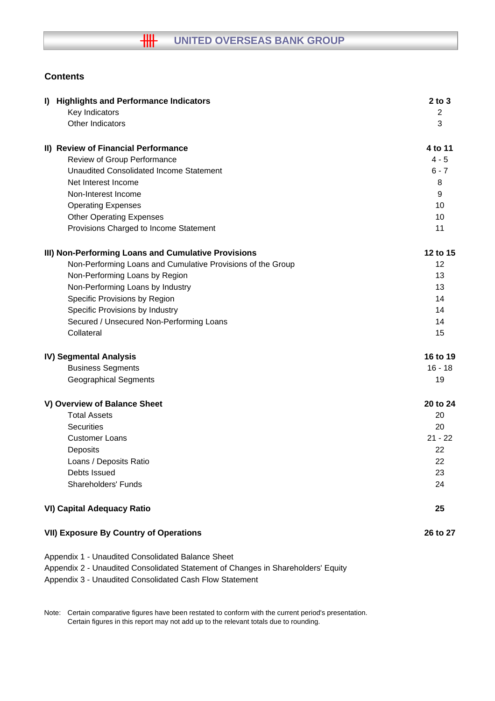## **Contents**

| I) Highlights and Performance Indicators                                         | $2$ to $3$ |
|----------------------------------------------------------------------------------|------------|
| Key Indicators                                                                   | 2          |
| Other Indicators                                                                 | 3          |
| II) Review of Financial Performance                                              | 4 to 11    |
| Review of Group Performance                                                      | $4 - 5$    |
| <b>Unaudited Consolidated Income Statement</b>                                   | $6 - 7$    |
| Net Interest Income                                                              | 8          |
| Non-Interest Income                                                              | 9          |
| <b>Operating Expenses</b>                                                        | 10         |
| <b>Other Operating Expenses</b>                                                  | 10         |
| Provisions Charged to Income Statement                                           | 11         |
| III) Non-Performing Loans and Cumulative Provisions                              | 12 to 15   |
| Non-Performing Loans and Cumulative Provisions of the Group                      | 12         |
| Non-Performing Loans by Region                                                   | 13         |
| Non-Performing Loans by Industry                                                 | 13         |
| Specific Provisions by Region                                                    | 14         |
| Specific Provisions by Industry                                                  | 14         |
| Secured / Unsecured Non-Performing Loans                                         | 14         |
| Collateral                                                                       | 15         |
| <b>IV) Segmental Analysis</b>                                                    | 16 to 19   |
| <b>Business Segments</b>                                                         | $16 - 18$  |
| <b>Geographical Segments</b>                                                     | 19         |
| V) Overview of Balance Sheet                                                     | 20 to 24   |
| <b>Total Assets</b>                                                              | 20         |
| <b>Securities</b>                                                                | 20         |
| <b>Customer Loans</b>                                                            | $21 - 22$  |
| Deposits                                                                         | 22         |
| Loans / Deposits Ratio                                                           | 22         |
| Debts Issued                                                                     | 23         |
| Shareholders' Funds                                                              | 24         |
| <b>VI) Capital Adequacy Ratio</b>                                                | 25         |
| <b>VII) Exposure By Country of Operations</b>                                    | 26 to 27   |
| Appendix 1 - Unaudited Consolidated Balance Sheet                                |            |
| Appendix 2 - Unaudited Consolidated Statement of Changes in Shareholders' Equity |            |

Appendix 3 - Unaudited Consolidated Cash Flow Statement

Note: Certain comparative figures have been restated to conform with the current period's presentation. Certain figures in this report may not add up to the relevant totals due to rounding.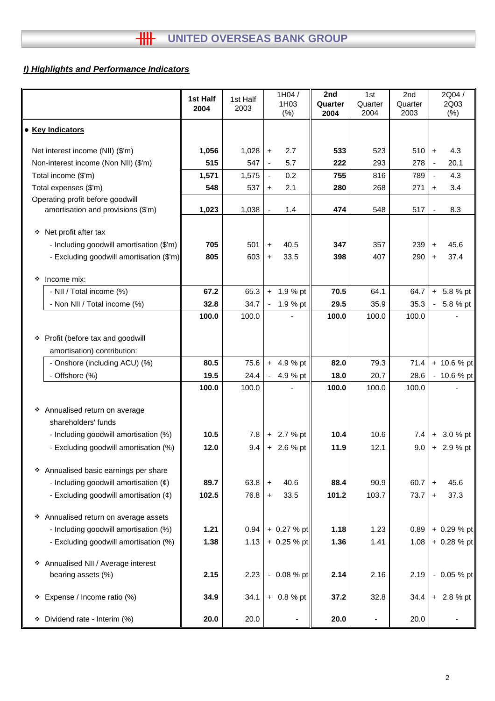## *I) Highlights and Performance Indicators*

|                                                                     | 1st Half<br>2004 | 1st Half<br>2003 |                          | 1H04/<br>1H03<br>(% ) | 2nd<br>Quarter<br>2004 | 1st<br>Quarter<br>2004   | 2nd<br>Quarter<br>2003 |                | 2Q04/<br>2Q03<br>(%) |
|---------------------------------------------------------------------|------------------|------------------|--------------------------|-----------------------|------------------------|--------------------------|------------------------|----------------|----------------------|
| • Key Indicators                                                    |                  |                  |                          |                       |                        |                          |                        |                |                      |
| Net interest income (NII) (\$'m)                                    | 1,056            | 1,028            | $\pm$                    | 2.7                   | 533                    | 523                      | 510                    | $+$            | 4.3                  |
| Non-interest income (Non NII) (\$'m)                                | 515              | 547              | $\blacksquare$           | 5.7                   | 222                    | 293                      | 278                    | $\blacksquare$ | 20.1                 |
| Total income (\$'m)                                                 | 1,571            | 1,575            | $\overline{\phantom{a}}$ | 0.2                   | 755                    | 816                      | 789                    | $\blacksquare$ | 4.3                  |
| Total expenses (\$'m)                                               | 548              | 537              | $+$                      | 2.1                   | 280                    | 268                      | 271                    | $\ddot{}$      | 3.4                  |
| Operating profit before goodwill                                    |                  |                  |                          |                       |                        |                          |                        |                |                      |
| amortisation and provisions (\$'m)                                  | 1,023            | 1,038            | $\frac{1}{2}$            | 1.4                   | 474                    | 548                      | 517                    | $\blacksquare$ | 8.3                  |
| Net profit after tax<br>۰                                           |                  |                  |                          |                       |                        |                          |                        |                |                      |
| - Including goodwill amortisation (\$'m)                            | 705              | 501              | $\ddot{}$                | 40.5                  | 347                    | 357                      | 239                    | $\ddot{}$      | 45.6                 |
| - Excluding goodwill amortisation (\$'m)                            | 805              | 603              | $+$                      | 33.5                  | 398                    | 407                      | 290                    | $\ddot{}$      | 37.4                 |
| Income mix:<br>❖                                                    |                  |                  |                          |                       |                        |                          |                        |                |                      |
| - NII / Total income (%)                                            | 67.2             | 65.3             |                          | $+ 1.9 %$ pt          | 70.5                   | 64.1                     | 64.7                   |                | $+ 5.8 %$ pt         |
| - Non NII / Total income (%)                                        | 32.8             | 34.7             |                          | $-1.9%$ pt            | 29.5                   | 35.9                     | 35.3                   | ۰.             | 5.8 % pt             |
|                                                                     | 100.0            | 100.0            |                          |                       | 100.0                  | 100.0                    | 100.0                  |                |                      |
| Profit (before tax and goodwill<br>❖<br>amortisation) contribution: |                  |                  |                          |                       |                        |                          |                        |                |                      |
| - Onshore (including ACU) (%)                                       | 80.5             | 75.6             |                          | $+ 4.9 %$ pt          | 82.0                   | 79.3                     | 71.4                   |                | + 10.6 % pt          |
| - Offshore (%)                                                      | 19.5             | 24.4             |                          | 4.9 % pt              | 18.0                   | 20.7                     | 28.6                   |                | - 10.6 % pt          |
|                                                                     | 100.0            | 100.0            |                          |                       | 100.0                  | 100.0                    | 100.0                  |                |                      |
| ❖ Annualised return on average<br>shareholders' funds               |                  |                  |                          |                       |                        |                          |                        |                |                      |
| - Including goodwill amortisation (%)                               | 10.5             | 7.8              |                          | $+ 2.7 %$ pt          | 10.4                   | 10.6                     | 7.4                    |                | $+3.0%$ pt           |
| - Excluding goodwill amortisation (%)                               | 12.0             | 9.4              |                          | $+ 2.6 %$ pt          | 11.9                   | 12.1                     | 9.0                    |                | $+ 2.9 %$ pt         |
| * Annualised basic earnings per share                               |                  |                  |                          |                       |                        |                          |                        |                |                      |
| - Including goodwill amortisation $(\phi)$                          | 89.7             | 63.8             | $\ddot{}$                | 40.6                  | 88.4                   | 90.9                     | 60.7                   | $\ddot{}$      | 45.6                 |
| - Excluding goodwill amortisation (¢)                               | 102.5            | 76.8             | $\pm$                    | 33.5                  | 101.2                  | 103.7                    | 73.7                   | $\ddot{}$      | 37.3                 |
| * Annualised return on average assets                               |                  |                  |                          |                       |                        |                          |                        |                |                      |
| - Including goodwill amortisation (%)                               | 1.21             | 0.94             |                          | $+ 0.27 %$ pt         | 1.18                   | 1.23                     | 0.89                   |                | $+ 0.29 %$ pt        |
| - Excluding goodwill amortisation (%)                               | 1.38             | 1.13             |                          | $+ 0.25 %$ pt         | 1.36                   | 1.41                     | 1.08                   |                | $+ 0.28 %$ pt        |
| * Annualised NII / Average interest<br>bearing assets (%)           | 2.15             | 2.23             |                          | $-0.08 \%$ pt         | 2.14                   | 2.16                     | 2.19                   |                | $-0.05%$ pt          |
| Expense / Income ratio (%)<br>۰                                     | 34.9             | 34.1             |                          | $+ 0.8 %$ pt          | 37.2                   | 32.8                     | 34.4                   |                | $+ 2.8 %$ pt         |
| Dividend rate - Interim (%)<br>۰                                    | 20.0             | 20.0             |                          | -                     | 20.0                   | $\overline{\phantom{a}}$ | 20.0                   |                |                      |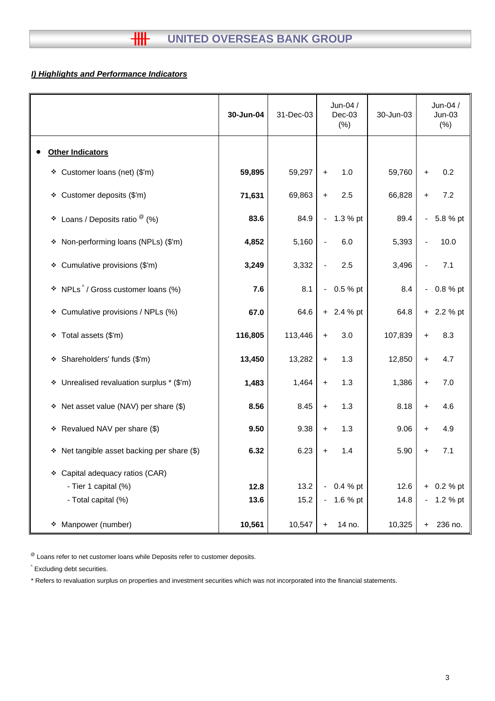## *I) Highlights and Performance Indicators*

|                                                   | 30-Jun-04 | 31-Dec-03 | Jun-04 /<br>$Dec-03$<br>$(\%)$ | 30-Jun-03 | Jun-04 /<br>$Jun-03$<br>$(\% )$ |
|---------------------------------------------------|-----------|-----------|--------------------------------|-----------|---------------------------------|
| <b>Other Indicators</b>                           |           |           |                                |           |                                 |
| Customer loans (net) (\$'m)<br>۰                  | 59,895    | 59,297    | 1.0<br>$\ddot{}$               | 59,760    | 0.2<br>$\ddot{}$                |
| Customer deposits (\$'m)<br>٠                     | 71,631    | 69,863    | 2.5<br>$\ddot{}$               | 66,828    | 7.2<br>$\ddot{}$                |
| Loans / Deposits ratio $^\circledR$ (%)<br>۰      | 83.6      | 84.9      | 1.3 % pt<br>$\sim$             | 89.4      | 5.8 % pt<br>$\blacksquare$      |
| Non-performing loans (NPLs) (\$'m)<br>۰           | 4,852     | 5,160     | 6.0                            | 5,393     | 10.0                            |
| Cumulative provisions (\$'m)<br>۰                 | 3,249     | 3,332     | 2.5<br>$\blacksquare$          | 3,496     | 7.1                             |
| NPLs <sup>^</sup> / Gross customer loans (%)<br>۰ | 7.6       | 8.1       | 0.5 % pt<br>$\sim$             | 8.4       | 0.8 % pt<br>$\blacksquare$      |
| Cumulative provisions / NPLs (%)<br>۰             | 67.0      | 64.6      | $+ 2.4 %$ pt                   | 64.8      | 2.2 % pt<br>$+$                 |
| Total assets (\$'m)<br>❖                          | 116,805   | 113,446   | 3.0<br>$\ddot{}$               | 107,839   | 8.3<br>$\ddot{}$                |
| Shareholders' funds (\$'m)<br>❖                   | 13,450    | 13,282    | 1.3<br>$\ddot{}$               | 12,850    | 4.7<br>$\ddot{}$                |
| Unrealised revaluation surplus * (\$'m)<br>۰      | 1,483     | 1,464     | 1.3<br>$+$                     | 1,386     | 7.0<br>$\ddot{}$                |
| * Net asset value (NAV) per share (\$)            | 8.56      | 8.45      | 1.3<br>$\ddagger$              | 8.18      | 4.6<br>$\ddot{}$                |
| * Revalued NAV per share (\$)                     | 9.50      | 9.38      | 1.3<br>$\ddot{}$               | 9.06      | 4.9<br>$\ddot{}$                |
| Net tangible asset backing per share (\$)<br>۰    | 6.32      | 6.23      | 1.4<br>$\ddot{}$               | 5.90      | 7.1<br>+                        |
| Capital adequacy ratios (CAR)<br>❖                |           |           |                                |           |                                 |
| - Tier 1 capital (%)                              | 12.8      | 13.2      | 0.4 % pt                       | 12.6      | 0.2 % pt<br>$+$                 |
| - Total capital (%)                               | 13.6      | 15.2      | 1.6 % pt<br>$\blacksquare$     | 14.8      | 1.2 % pt<br>$\blacksquare$      |
| Manpower (number)<br>۰                            | 10,561    | 10,547    | 14 no.<br>$+$                  | 10,325    | 236 no.<br>$+$                  |

 $^{\circledR}$  Loans refer to net customer loans while Deposits refer to customer deposits.

^ Excluding debt securities.

\* Refers to revaluation surplus on properties and investment securities which was not incorporated into the financial statements.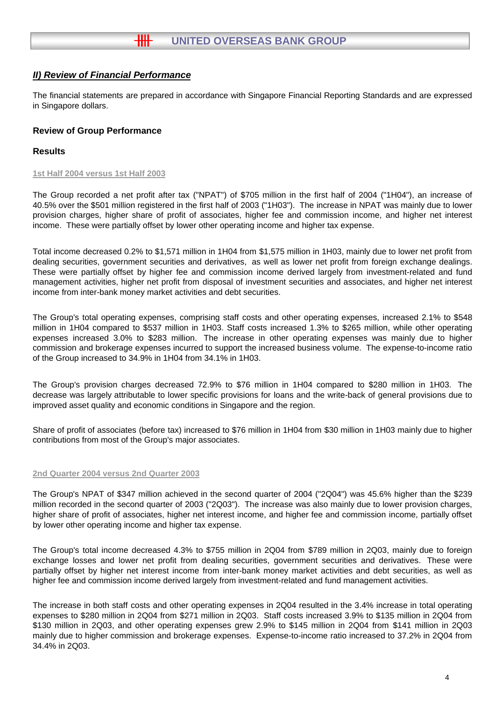The financial statements are prepared in accordance with Singapore Financial Reporting Standards and are expressed in Singapore dollars.

#### **Review of Group Performance**

#### **Results**

#### **1st Half 2004 versus 1st Half 2003**

The Group recorded a net profit after tax ("NPAT") of \$705 million in the first half of 2004 ("1H04"), an increase of 40.5% over the \$501 million registered in the first half of 2003 ("1H03"). The increase in NPAT was mainly due to lower provision charges, higher share of profit of associates, higher fee and commission income, and higher net interest income. These were partially offset by lower other operating income and higher tax expense.

Total income decreased 0.2% to \$1,571 million in 1H04 from \$1,575 million in 1H03, mainly due to lower net profit from dealing securities, government securities and derivatives, as well as lower net profit from foreign exchange dealings. These were partially offset by higher fee and commission income derived largely from investment-related and fund management activities, higher net profit from disposal of investment securities and associates, and higher net interest income from inter-bank money market activities and debt securities.

The Group's total operating expenses, comprising staff costs and other operating expenses, increased 2.1% to \$548 million in 1H04 compared to \$537 million in 1H03. Staff costs increased 1.3% to \$265 million, while other operating expenses increased 3.0% to \$283 million. The increase in other operating expenses was mainly due to higher commission and brokerage expenses incurred to support the increased business volume. The expense-to-income ratio of the Group increased to 34.9% in 1H04 from 34.1% in 1H03.

The Group's provision charges decreased 72.9% to \$76 million in 1H04 compared to \$280 million in 1H03. The decrease was largely attributable to lower specific provisions for loans and the write-back of general provisions due to improved asset quality and economic conditions in Singapore and the region.

Share of profit of associates (before tax) increased to \$76 million in 1H04 from \$30 million in 1H03 mainly due to higher contributions from most of the Group's major associates.

#### **2nd Quarter 2004 versus 2nd Quarter 2003**

The Group's NPAT of \$347 million achieved in the second quarter of 2004 ("2Q04") was 45.6% higher than the \$239 million recorded in the second quarter of 2003 ("2Q03"). The increase was also mainly due to lower provision charges, higher share of profit of associates, higher net interest income, and higher fee and commission income, partially offset by lower other operating income and higher tax expense.

The Group's total income decreased 4.3% to \$755 million in 2Q04 from \$789 million in 2Q03, mainly due to foreign exchange losses and lower net profit from dealing securities, government securities and derivatives. These were partially offset by higher net interest income from inter-bank money market activities and debt securities, as well as higher fee and commission income derived largely from investment-related and fund management activities.

The increase in both staff costs and other operating expenses in 2Q04 resulted in the 3.4% increase in total operating expenses to \$280 million in 2Q04 from \$271 million in 2Q03. Staff costs increased 3.9% to \$135 million in 2Q04 from \$130 million in 2Q03, and other operating expenses grew 2.9% to \$145 million in 2Q04 from \$141 million in 2Q03 mainly due to higher commission and brokerage expenses. Expense-to-income ratio increased to 37.2% in 2Q04 from 34.4% in 2Q03.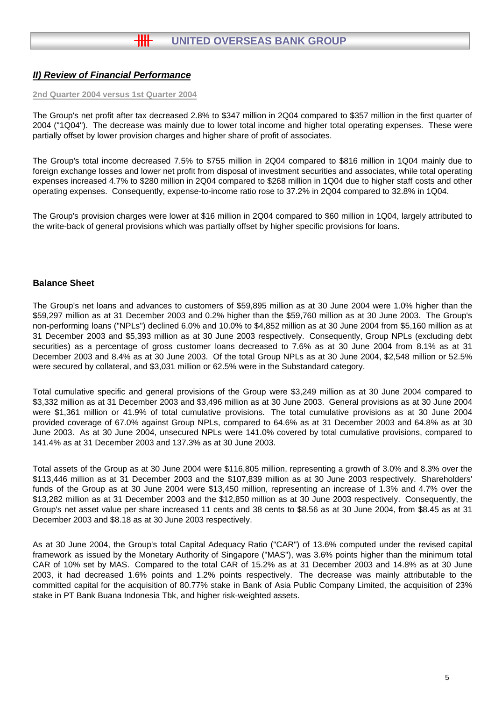#### **2nd Quarter 2004 versus 1st Quarter 2004**

The Group's net profit after tax decreased 2.8% to \$347 million in 2Q04 compared to \$357 million in the first quarter of 2004 ("1Q04"). The decrease was mainly due to lower total income and higher total operating expenses. These were partially offset by lower provision charges and higher share of profit of associates.

The Group's total income decreased 7.5% to \$755 million in 2Q04 compared to \$816 million in 1Q04 mainly due to foreign exchange losses and lower net profit from disposal of investment securities and associates, while total operating expenses increased 4.7% to \$280 million in 2Q04 compared to \$268 million in 1Q04 due to higher staff costs and other operating expenses. Consequently, expense-to-income ratio rose to 37.2% in 2Q04 compared to 32.8% in 1Q04.

The Group's provision charges were lower at \$16 million in 2Q04 compared to \$60 million in 1Q04, largely attributed to the write-back of general provisions which was partially offset by higher specific provisions for loans.

#### **Balance Sheet**

The Group's net loans and advances to customers of \$59,895 million as at 30 June 2004 were 1.0% higher than the \$59,297 million as at 31 December 2003 and 0.2% higher than the \$59,760 million as at 30 June 2003. The Group's non-performing loans ("NPLs") declined 6.0% and 10.0% to \$4,852 million as at 30 June 2004 from \$5,160 million as at 31 December 2003 and \$5,393 million as at 30 June 2003 respectively. Consequently, Group NPLs (excluding debt securities) as a percentage of gross customer loans decreased to 7.6% as at 30 June 2004 from 8.1% as at 31 December 2003 and 8.4% as at 30 June 2003. Of the total Group NPLs as at 30 June 2004, \$2,548 million or 52.5% were secured by collateral, and \$3,031 million or 62.5% were in the Substandard category.

Total cumulative specific and general provisions of the Group were \$3,249 million as at 30 June 2004 compared to \$3,332 million as at 31 December 2003 and \$3,496 million as at 30 June 2003. General provisions as at 30 June 2004 were \$1,361 million or 41.9% of total cumulative provisions. The total cumulative provisions as at 30 June 2004 provided coverage of 67.0% against Group NPLs, compared to 64.6% as at 31 December 2003 and 64.8% as at 30 June 2003. As at 30 June 2004, unsecured NPLs were 141.0% covered by total cumulative provisions, compared to 141.4% as at 31 December 2003 and 137.3% as at 30 June 2003.

Total assets of the Group as at 30 June 2004 were \$116,805 million, representing a growth of 3.0% and 8.3% over the \$113,446 million as at 31 December 2003 and the \$107,839 million as at 30 June 2003 respectively. Shareholders' funds of the Group as at 30 June 2004 were \$13,450 million, representing an increase of 1.3% and 4.7% over the \$13,282 million as at 31 December 2003 and the \$12,850 million as at 30 June 2003 respectively. Consequently, the Group's net asset value per share increased 11 cents and 38 cents to \$8.56 as at 30 June 2004, from \$8.45 as at 31 December 2003 and \$8.18 as at 30 June 2003 respectively.

As at 30 June 2004, the Group's total Capital Adequacy Ratio ("CAR") of 13.6% computed under the revised capital framework as issued by the Monetary Authority of Singapore ("MAS"), was 3.6% points higher than the minimum total CAR of 10% set by MAS. Compared to the total CAR of 15.2% as at 31 December 2003 and 14.8% as at 30 June 2003, it had decreased 1.6% points and 1.2% points respectively. The decrease was mainly attributable to the committed capital for the acquisition of 80.77% stake in Bank of Asia Public Company Limited, the acquisition of 23% stake in PT Bank Buana Indonesia Tbk, and higher risk-weighted assets.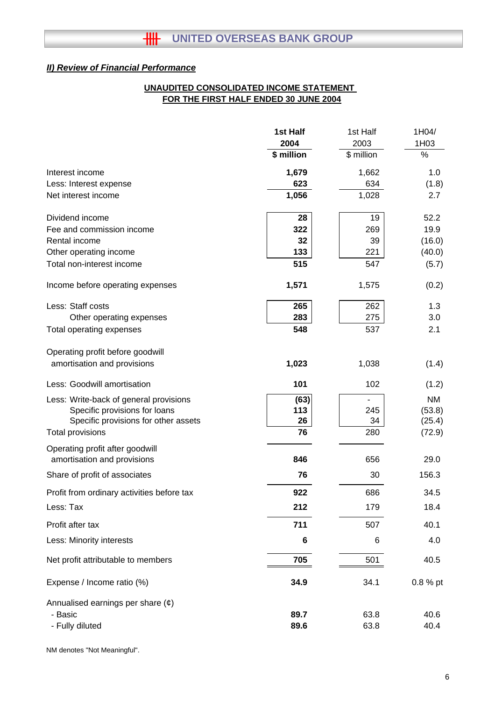## **FOR THE FIRST HALF ENDED 30 JUNE 2004 UNAUDITED CONSOLIDATED INCOME STATEMENT**

|                                                                | 1st Half   | 1st Half   | 1H04/     |
|----------------------------------------------------------------|------------|------------|-----------|
|                                                                | 2004       | 2003       | 1H03      |
|                                                                | \$ million | \$ million | %         |
| Interest income                                                | 1,679      | 1,662      | 1.0       |
| Less: Interest expense                                         | 623        | 634        | (1.8)     |
| Net interest income                                            | 1,056      | 1,028      | 2.7       |
| Dividend income                                                | 28         | 19         | 52.2      |
| Fee and commission income                                      | 322        | 269        | 19.9      |
| Rental income                                                  | 32         | 39         | (16.0)    |
| Other operating income                                         | 133        | 221        | (40.0)    |
| Total non-interest income                                      | 515        | 547        | (5.7)     |
| Income before operating expenses                               | 1,571      | 1,575      | (0.2)     |
| Less: Staff costs                                              | 265        | 262        | 1.3       |
| Other operating expenses                                       | 283        | 275        | 3.0       |
| Total operating expenses                                       | 548        | 537        | 2.1       |
| Operating profit before goodwill                               |            |            |           |
| amortisation and provisions                                    | 1,023      | 1,038      | (1.4)     |
| Less: Goodwill amortisation                                    | 101        | 102        | (1.2)     |
| Less: Write-back of general provisions                         | (63)       |            | <b>NM</b> |
| Specific provisions for loans                                  | 113        | 245        | (53.8)    |
| Specific provisions for other assets                           | 26         | 34         | (25.4)    |
| Total provisions                                               | 76         | 280        | (72.9)    |
| Operating profit after goodwill<br>amortisation and provisions | 846        | 656        | 29.0      |
| Share of profit of associates                                  | 76         | 30         | 156.3     |
| Profit from ordinary activities before tax                     | 922        | 686        | 34.5      |
| Less: Tax                                                      | 212        | 179        | 18.4      |
| Profit after tax                                               | 711        | 507        | 40.1      |
| Less: Minority interests                                       | 6          | 6          | 4.0       |
| Net profit attributable to members                             | 705        | 501        | 40.5      |
| Expense / Income ratio (%)                                     | 34.9       | 34.1       | 0.8 % pt  |
| Annualised earnings per share $(\phi)$                         |            |            |           |
| - Basic                                                        | 89.7       | 63.8       | 40.6      |
| - Fully diluted                                                | 89.6       | 63.8       | 40.4      |
|                                                                |            |            |           |

NM denotes "Not Meaningful".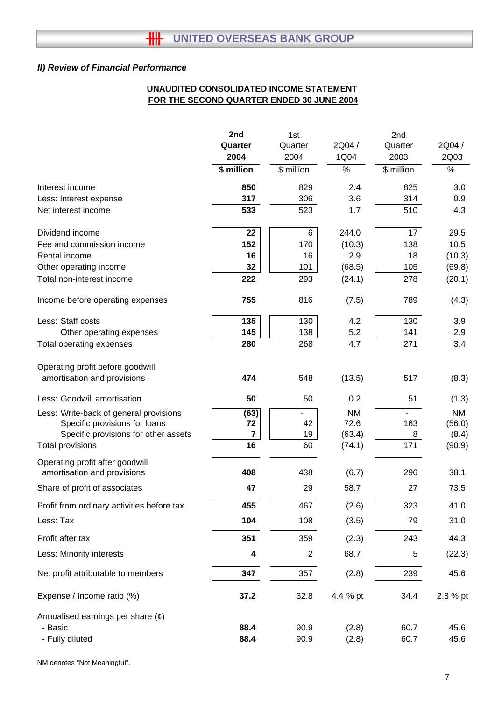## **UNAUDITED CONSOLIDATED INCOME STATEMENT FOR THE SECOND QUARTER ENDED 30 JUNE 2004**

|                                                                | 2nd                     | 1st            |           | 2nd        |           |  |
|----------------------------------------------------------------|-------------------------|----------------|-----------|------------|-----------|--|
|                                                                | Quarter                 | Quarter        | 2Q04 /    | Quarter    | 2Q04 /    |  |
|                                                                | 2004                    | 2004           | 1Q04      | 2003       | 2Q03      |  |
|                                                                | \$ million              | \$ million     | $\%$      | \$ million | %         |  |
| Interest income                                                | 850                     | 829            | 2.4       | 825        | 3.0       |  |
| Less: Interest expense                                         | 317                     | 306            | 3.6       | 314        | 0.9       |  |
| Net interest income                                            | 533                     | 523            | 1.7       | 510        | 4.3       |  |
| Dividend income                                                | 22                      | 6              | 244.0     | 17         | 29.5      |  |
| Fee and commission income                                      | 152                     | 170            | (10.3)    | 138        | 10.5      |  |
| Rental income                                                  | 16                      | 16             | 2.9       | 18         | (10.3)    |  |
| Other operating income                                         | 32                      | 101            | (68.5)    | 105        | (69.8)    |  |
| Total non-interest income                                      | 222                     | 293            | (24.1)    | 278        | (20.1)    |  |
| Income before operating expenses                               | 755                     | 816            | (7.5)     | 789        | (4.3)     |  |
| Less: Staff costs                                              | 135                     | 130            | 4.2       | 130        | 3.9       |  |
| Other operating expenses                                       | 145                     | 138            | 5.2       | 141        | 2.9       |  |
| Total operating expenses                                       | 280                     | 268            | 4.7       | 271        | 3.4       |  |
| Operating profit before goodwill                               |                         |                |           |            |           |  |
| amortisation and provisions                                    | 474                     | 548            | (13.5)    | 517        | (8.3)     |  |
| Less: Goodwill amortisation                                    | 50                      | 50             | 0.2       | 51         | (1.3)     |  |
| Less: Write-back of general provisions                         | (63)                    |                | <b>NM</b> |            | <b>NM</b> |  |
| Specific provisions for loans                                  | 72                      | 42             | 72.6      | 163        | (56.0)    |  |
| Specific provisions for other assets                           | $\overline{\mathbf{7}}$ | 19             | (63.4)    | 8          | (8.4)     |  |
| <b>Total provisions</b>                                        | 16                      | 60             | (74.1)    | 171        | (90.9)    |  |
| Operating profit after goodwill<br>amortisation and provisions | 408                     | 438            | (6.7)     | 296        | 38.1      |  |
| Share of profit of associates                                  | 47                      | 29             | 58.7      | 27         | 73.5      |  |
| Profit from ordinary activities before tax                     | 455                     | 467            | (2.6)     | 323        | 41.0      |  |
| Less: Tax                                                      | 104                     | 108            | (3.5)     | 79         | 31.0      |  |
| Profit after tax                                               | 351                     | 359            | (2.3)     | 243        | 44.3      |  |
| Less: Minority interests                                       | 4                       | $\overline{2}$ | 68.7      | 5          | (22.3)    |  |
| Net profit attributable to members                             | 347                     | 357            | (2.8)     | 239        | 45.6      |  |
|                                                                |                         |                |           |            |           |  |
| Expense / Income ratio (%)                                     | 37.2                    | 32.8           | 4.4 % pt  | 34.4       | 2.8 % pt  |  |
| Annualised earnings per share $(e)$                            |                         |                |           |            |           |  |
| - Basic                                                        | 88.4                    | 90.9           | (2.8)     | 60.7       | 45.6      |  |
| - Fully diluted                                                | 88.4                    | 90.9           | (2.8)     | 60.7       | 45.6      |  |

NM denotes "Not Meaningful".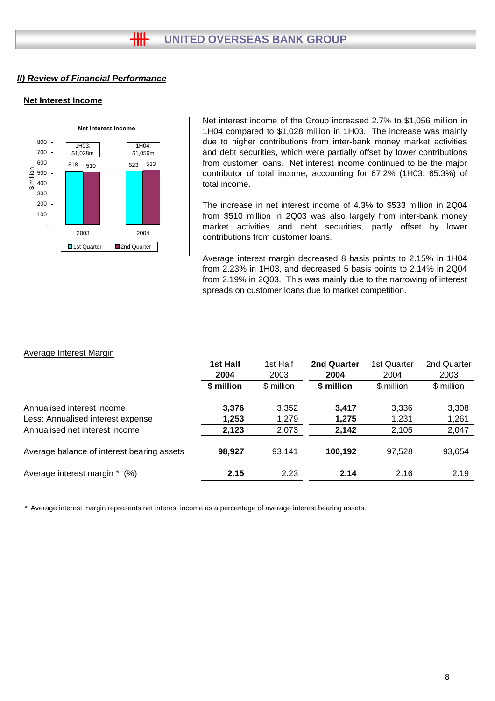## **Net Interest Income**



Net interest income of the Group increased 2.7% to \$1,056 million in 1H04 compared to \$1,028 million in 1H03. The increase was mainly due to higher contributions from inter-bank money market activities and debt securities, which were partially offset by lower contributions from customer loans. Net interest income continued to be the major contributor of total income, accounting for 67.2% (1H03: 65.3%) of total income.

The increase in net interest income of 4.3% to \$533 million in 2Q04 from \$510 million in 2Q03 was also largely from inter-bank money market activities and debt securities, partly offset by lower contributions from customer loans.

Average interest margin decreased 8 basis points to 2.15% in 1H04 from 2.23% in 1H03, and decreased 5 basis points to 2.14% in 2Q04 from 2.19% in 2Q03. This was mainly due to the narrowing of interest spreads on customer loans due to market competition.

#### Average Interest Margin

|                                            | 1st Half<br>2004 | 1st Half<br>2003 | <b>2nd Quarter</b><br>2004 | 1st Quarter<br>2004 | 2nd Quarter<br>2003 |
|--------------------------------------------|------------------|------------------|----------------------------|---------------------|---------------------|
|                                            | \$ million       | \$ million       | \$ million                 | \$ million          | \$ million          |
| Annualised interest income                 | 3,376            | 3,352            | 3,417                      | 3,336               | 3,308               |
| Less: Annualised interest expense          | 1,253            | 1,279            | 1,275                      | 1,231               | 1,261               |
| Annualised net interest income             | 2,123            | 2,073            | 2,142                      | 2,105               | 2,047               |
| Average balance of interest bearing assets | 98,927           | 93,141           | 100,192                    | 97,528              | 93,654              |
| Average interest margin *<br>(%)           | 2.15             | 2.23             | 2.14                       | 2.16                | 2.19                |

\* Average interest margin represents net interest income as a percentage of average interest bearing assets.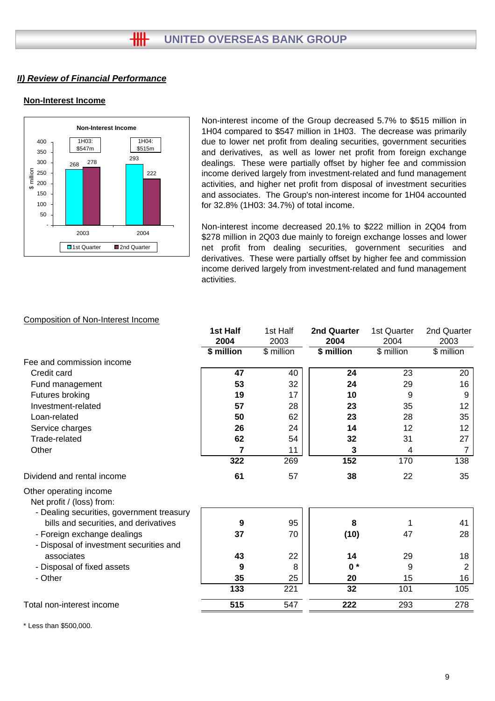## **Non-Interest Income**



Non-interest income of the Group decreased 5.7% to \$515 million in 1H04 compared to \$547 million in 1H03. The decrease was primarily due to lower net profit from dealing securities, government securities and derivatives, as well as lower net profit from foreign exchange dealings. These were partially offset by higher fee and commission income derived largely from investment-related and fund management activities, and higher net profit from disposal of investment securities and associates. The Group's non-interest income for 1H04 accounted for 32.8% (1H03: 34.7%) of total income.

Non-interest income decreased 20.1% to \$222 million in 2Q04 from \$278 million in 2Q03 due mainly to foreign exchange losses and lower net profit from dealing securities, government securities and derivatives. These were partially offset by higher fee and commission income derived largely from investment-related and fund management activities.

| 2004<br>\$ million | 2003<br>\$ million | 2004<br>\$ million | 2004       | 2003           |
|--------------------|--------------------|--------------------|------------|----------------|
|                    |                    |                    |            |                |
|                    |                    |                    | \$ million | \$ million     |
|                    |                    |                    |            |                |
|                    | 40                 | 24                 | 23         | 20             |
| 53                 | 32                 | 24                 | 29         | 16             |
| 19                 | 17                 | 10                 | 9          | 9              |
| 57                 | 28                 | 23                 | 35         | 12             |
| 50                 | 62                 | 23                 | 28         | 35             |
| 26                 | 24                 | 14                 | 12         | 12             |
| 62                 | 54                 | 32                 | 31         | 27             |
| 7                  | 11                 | 3                  | 4          | 7              |
| 322                | 269                | 152                | 170        | 138            |
| 61                 | 57                 | 38                 | 22         | 35             |
|                    |                    |                    |            |                |
| 9                  | 95                 | 8                  | 1          | 41             |
| 37                 | 70                 | (10)               | 47         | 28             |
| 43                 | 22                 | 14                 | 29         | 18             |
| 9                  | 8                  | $0*$               | 9          | $\overline{2}$ |
| 35                 |                    | 20                 | 15         | 16             |
| 133                | 221                | 32                 | 101        | 105            |
| 515                | 547                | 222                | 293        | 278            |
|                    | 47                 | 25                 |            |                |

Composition of Non-Interest Income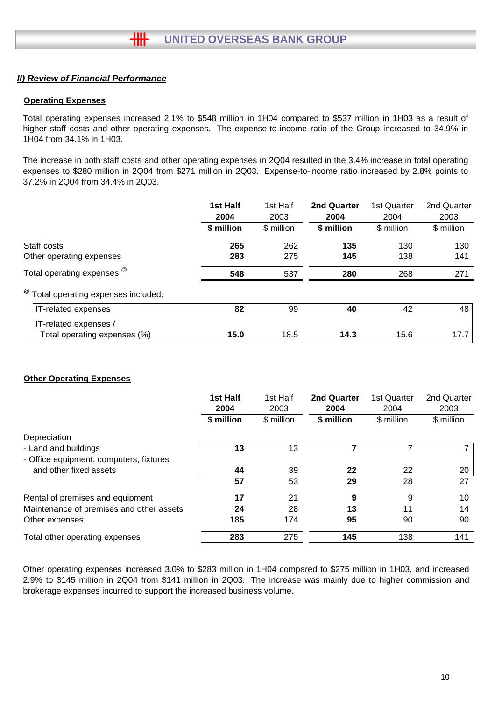### **Operating Expenses**

Total operating expenses increased 2.1% to \$548 million in 1H04 compared to \$537 million in 1H03 as a result of higher staff costs and other operating expenses. The expense-to-income ratio of the Group increased to 34.9% in 1H04 from 34.1% in 1H03.

The increase in both staff costs and other operating expenses in 2Q04 resulted in the 3.4% increase in total operating expenses to \$280 million in 2Q04 from \$271 million in 2Q03. Expense-to-income ratio increased by 2.8% points to 37.2% in 2Q04 from 34.4% in 2Q03.

|                                                       | 1st Half<br>2004 | 1st Half<br>2003 | 2nd Quarter<br>2004 | 1st Quarter<br>2004 | 2nd Quarter<br>2003 |
|-------------------------------------------------------|------------------|------------------|---------------------|---------------------|---------------------|
|                                                       | \$ million       | \$ million       | \$ million          | \$ million          | \$ million          |
| Staff costs                                           | 265              | 262              | 135                 | 130                 | 130                 |
| Other operating expenses                              | 283              | 275              | 145                 | 138                 | 141                 |
| Total operating expenses <sup>@</sup>                 | 548              | 537              | 280                 | 268                 | 271                 |
| <sup>@</sup> Total operating expenses included:       |                  |                  |                     |                     |                     |
| IT-related expenses                                   | 82               | 99               | 40                  | 42                  | 48                  |
| IT-related expenses /<br>Total operating expenses (%) | 15.0             | 18.5             | 14.3                | 15.6                | 17.7                |

### **Other Operating Expenses**

|                                          | 1st Half<br>2004 | 1st Half<br>2003 | <b>2nd Quarter</b><br>2004 | 1st Quarter<br>2004 | 2nd Quarter<br>2003 |
|------------------------------------------|------------------|------------------|----------------------------|---------------------|---------------------|
|                                          | \$ million       | \$ million       | \$ million                 | \$ million          | \$ million          |
| Depreciation                             |                  |                  |                            |                     |                     |
| - Land and buildings                     | 13               | 13               |                            |                     |                     |
| - Office equipment, computers, fixtures  |                  |                  |                            |                     |                     |
| and other fixed assets                   | 44               | 39               | 22                         | 22                  | 20                  |
|                                          | 57               | 53               | 29                         | 28                  | 27                  |
| Rental of premises and equipment         | 17               | 21               | 9                          | 9                   | 10                  |
| Maintenance of premises and other assets | 24               | 28               | 13                         | 11                  | 14                  |
| Other expenses                           | 185              | 174              | 95                         | 90                  | 90                  |
| Total other operating expenses           | 283              | 275              | 145                        | 138                 | 141                 |

Other operating expenses increased 3.0% to \$283 million in 1H04 compared to \$275 million in 1H03, and increased 2.9% to \$145 million in 2Q04 from \$141 million in 2Q03. The increase was mainly due to higher commission and brokerage expenses incurred to support the increased business volume.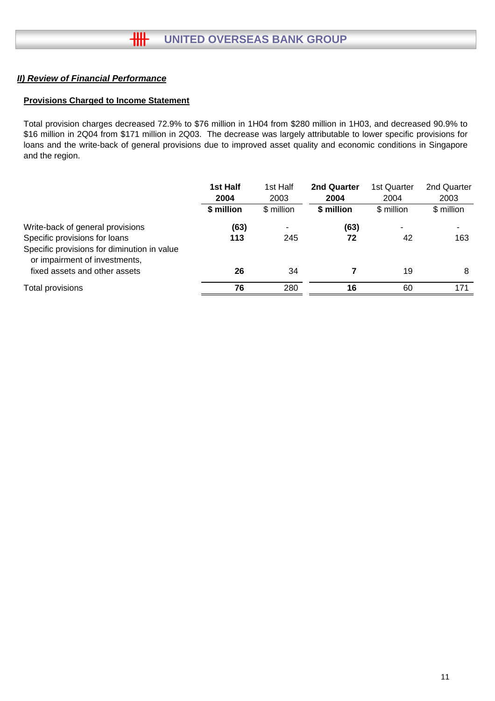#### **Provisions Charged to Income Statement**

Total provision charges decreased 72.9% to \$76 million in 1H04 from \$280 million in 1H03, and decreased 90.9% to \$16 million in 2Q04 from \$171 million in 2Q03. The decrease was largely attributable to lower specific provisions for loans and the write-back of general provisions due to improved asset quality and economic conditions in Singapore and the region.

|                                                                                                                                                   | 1st Half<br>2004<br>\$ million | 1st Half<br>2003<br>\$ million | 2nd Quarter<br>2004<br>\$ million | 1st Quarter<br>2004<br>\$ million | 2nd Quarter<br>2003<br>\$ million |
|---------------------------------------------------------------------------------------------------------------------------------------------------|--------------------------------|--------------------------------|-----------------------------------|-----------------------------------|-----------------------------------|
| Write-back of general provisions<br>Specific provisions for loans<br>Specific provisions for diminution in value<br>or impairment of investments, | (63)<br>113                    | 245                            | (63)<br>72                        | ۰<br>42                           | 163                               |
| fixed assets and other assets                                                                                                                     | 26                             | 34                             |                                   | 19                                | 8                                 |
| Total provisions                                                                                                                                  | 76                             | 280                            | 16                                | 60                                | 171                               |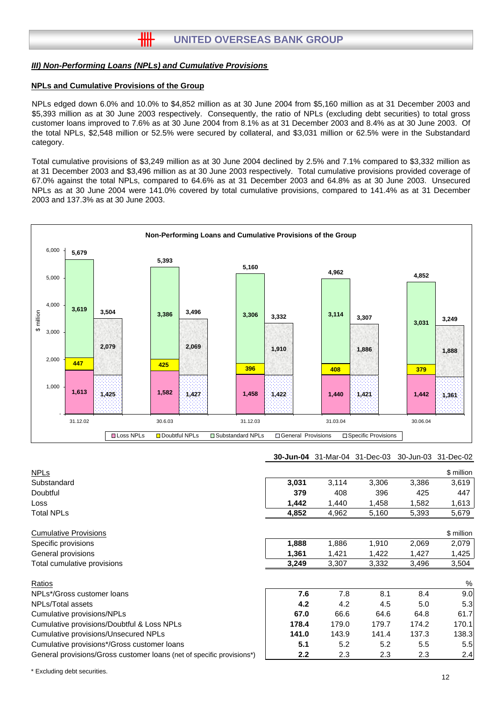卌

#### **NPLs and Cumulative Provisions of the Group**

NPLs edged down 6.0% and 10.0% to \$4,852 million as at 30 June 2004 from \$5,160 million as at 31 December 2003 and \$5,393 million as at 30 June 2003 respectively. Consequently, the ratio of NPLs (excluding debt securities) to total gross customer loans improved to 7.6% as at 30 June 2004 from 8.1% as at 31 December 2003 and 8.4% as at 30 June 2003. Of the total NPLs, \$2,548 million or 52.5% were secured by collateral, and \$3,031 million or 62.5% were in the Substandard category.

Total cumulative provisions of \$3,249 million as at 30 June 2004 declined by 2.5% and 7.1% compared to \$3,332 million as at 31 December 2003 and \$3,496 million as at 30 June 2003 respectively. Total cumulative provisions provided coverage of 67.0% against the total NPLs, compared to 64.6% as at 31 December 2003 and 64.8% as at 30 June 2003. Unsecured NPLs as at 30 June 2004 were 141.0% covered by total cumulative provisions, compared to 141.4% as at 31 December 2003 and 137.3% as at 30 June 2003.



#### **30-Jun-04** 31-Mar-04 31-Dec-03 30-Jun-03 31-Dec-02

| <b>NPLs</b>                                                           |                  |       |       |       | \$ million |
|-----------------------------------------------------------------------|------------------|-------|-------|-------|------------|
| Substandard                                                           | 3,031            | 3,114 | 3,306 | 3,386 | 3,619      |
| Doubtful                                                              | 379              | 408   | 396   | 425   | 447        |
| Loss                                                                  | 1,442            | 1,440 | 1,458 | 1,582 | 1,613      |
| <b>Total NPLs</b>                                                     | 4,852            | 4,962 | 5,160 | 5,393 | 5,679      |
| <b>Cumulative Provisions</b>                                          |                  |       |       |       | \$ million |
| Specific provisions                                                   | 1,888            | 1,886 | 1,910 | 2,069 | 2,079      |
| General provisions                                                    | 1,361            | 1,421 | 1,422 | 1,427 | 1,425      |
| Total cumulative provisions                                           | 3,249            | 3,307 | 3,332 | 3,496 | 3,504      |
| Ratios                                                                |                  |       |       |       | %          |
| NPLs*/Gross customer loans                                            | 7.6              | 7.8   | 8.1   | 8.4   | 9.0        |
| NPLs/Total assets                                                     | 4.2              | 4.2   | 4.5   | 5.0   | 5.3        |
| Cumulative provisions/NPLs                                            | 67.0             | 66.6  | 64.6  | 64.8  | 61.7       |
| Cumulative provisions/Doubtful & Loss NPLs                            | 178.4            | 179.0 | 179.7 | 174.2 | 170.1      |
| Cumulative provisions/Unsecured NPLs                                  | 141.0            | 143.9 | 141.4 | 137.3 | 138.3      |
| Cumulative provisions*/Gross customer loans                           | 5.1              | 5.2   | 5.2   | 5.5   | 5.5        |
| General provisions/Gross customer loans (net of specific provisions*) | 2.2 <sub>2</sub> | 2.3   | 2.3   | 2.3   | 2.4        |
|                                                                       |                  |       |       |       |            |

\* Excluding debt securities.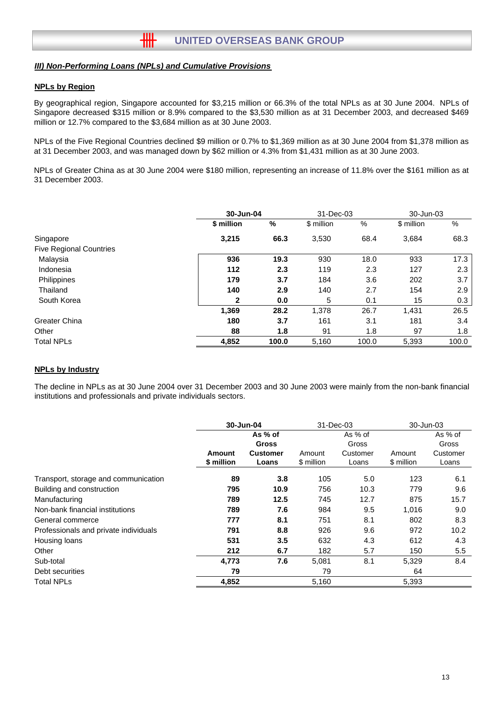卌

#### **NPLs by Region**

By geographical region, Singapore accounted for \$3,215 million or 66.3% of the total NPLs as at 30 June 2004. NPLs of Singapore decreased \$315 million or 8.9% compared to the \$3,530 million as at 31 December 2003, and decreased \$469 million or 12.7% compared to the \$3,684 million as at 30 June 2003.

NPLs of the Five Regional Countries declined \$9 million or 0.7% to \$1,369 million as at 30 June 2004 from \$1,378 million as at 31 December 2003, and was managed down by \$62 million or 4.3% from \$1,431 million as at 30 June 2003.

NPLs of Greater China as at 30 June 2004 were \$180 million, representing an increase of 11.8% over the \$161 million as at 31 December 2003.

|                                |            | 30-Jun-04 |            | 31-Dec-03 |            | 30-Jun-03 |
|--------------------------------|------------|-----------|------------|-----------|------------|-----------|
|                                | \$ million | %         | \$ million | %         | \$ million | %         |
| Singapore                      | 3,215      | 66.3      | 3,530      | 68.4      | 3,684      | 68.3      |
| <b>Five Regional Countries</b> |            |           |            |           |            |           |
| Malaysia                       | 936        | 19.3      | 930        | 18.0      | 933        | 17.3      |
| Indonesia                      | 112        | 2.3       | 119        | 2.3       | 127        | 2.3       |
| Philippines                    | 179        | 3.7       | 184        | 3.6       | 202        | 3.7       |
| Thailand                       | 140        | 2.9       | 140        | 2.7       | 154        | 2.9       |
| South Korea                    | 2          | 0.0       | 5          | 0.1       | 15         | 0.3       |
|                                | 1,369      | 28.2      | 1,378      | 26.7      | 1,431      | 26.5      |
| <b>Greater China</b>           | 180        | 3.7       | 161        | 3.1       | 181        | 3.4       |
| Other                          | 88         | 1.8       | 91         | 1.8       | 97         | 1.8       |
| <b>Total NPLs</b>              | 4,852      | 100.0     | 5,160      | 100.0     | 5,393      | 100.0     |

#### **NPLs by Industry**

The decline in NPLs as at 30 June 2004 over 31 December 2003 and 30 June 2003 were mainly from the non-bank financial institutions and professionals and private individuals sectors.

|                                       | 30-Jun-04  |                 | 31-Dec-03  |          | 30-Jun-03  |          |
|---------------------------------------|------------|-----------------|------------|----------|------------|----------|
|                                       | As % of    |                 |            | As % of  |            | As % of  |
|                                       |            | <b>Gross</b>    |            | Gross    |            | Gross    |
|                                       | Amount     | <b>Customer</b> | Amount     | Customer | Amount     | Customer |
|                                       | \$ million | Loans           | \$ million | Loans    | \$ million | Loans    |
| Transport, storage and communication  | 89         | 3.8             | 105        | 5.0      | 123        | 6.1      |
| Building and construction             | 795        | 10.9            | 756        | 10.3     | 779        | 9.6      |
| Manufacturing                         | 789        | 12.5            | 745        | 12.7     | 875        | 15.7     |
| Non-bank financial institutions       | 789        | 7.6             | 984        | 9.5      | 1,016      | 9.0      |
| General commerce                      | 777        | 8.1             | 751        | 8.1      | 802        | 8.3      |
| Professionals and private individuals | 791        | 8.8             | 926        | 9.6      | 972        | 10.2     |
| Housing loans                         | 531        | 3.5             | 632        | 4.3      | 612        | 4.3      |
| Other                                 | 212        | 6.7             | 182        | 5.7      | 150        | 5.5      |
| Sub-total                             | 4,773      | 7.6             | 5,081      | 8.1      | 5,329      | 8.4      |
| Debt securities                       | 79         |                 | 79         |          | 64         |          |
| <b>Total NPLs</b>                     | 4,852      |                 | 5,160      |          | 5,393      |          |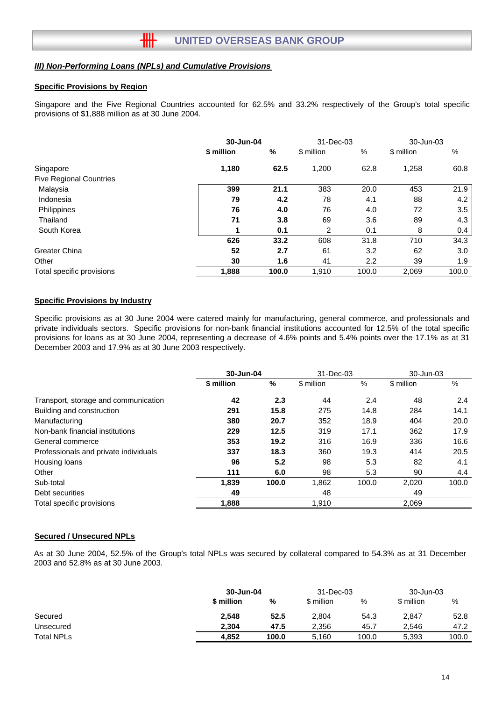卌

#### **Specific Provisions by Region**

Singapore and the Five Regional Countries accounted for 62.5% and 33.2% respectively of the Group's total specific provisions of \$1,888 million as at 30 June 2004.

|                                |            | 30-Jun-04 |            | 31-Dec-03 |            | 30-Jun-03 |  |
|--------------------------------|------------|-----------|------------|-----------|------------|-----------|--|
|                                | \$ million | %         | \$ million | %         | \$ million | %         |  |
| Singapore                      | 1,180      | 62.5      | 1,200      | 62.8      | 1,258      | 60.8      |  |
| <b>Five Regional Countries</b> |            |           |            |           |            |           |  |
| Malaysia                       | 399        | 21.1      | 383        | 20.0      | 453        | 21.9      |  |
| Indonesia                      | 79         | 4.2       | 78         | 4.1       | 88         | 4.2       |  |
| Philippines                    | 76         | 4.0       | 76         | 4.0       | 72         | 3.5       |  |
| Thailand                       | 71         | 3.8       | 69         | 3.6       | 89         | 4.3       |  |
| South Korea                    | 1          | 0.1       | 2          | 0.1       | 8          | 0.4       |  |
|                                | 626        | 33.2      | 608        | 31.8      | 710        | 34.3      |  |
| Greater China                  | 52         | 2.7       | 61         | 3.2       | 62         | 3.0       |  |
| Other                          | 30         | 1.6       | 41         | 2.2       | 39         | 1.9       |  |
| Total specific provisions      | 1,888      | 100.0     | 1,910      | 100.0     | 2,069      | 100.0     |  |

#### **Specific Provisions by Industry**

Specific provisions as at 30 June 2004 were catered mainly for manufacturing, general commerce, and professionals and private individuals sectors. Specific provisions for non-bank financial institutions accounted for 12.5% of the total specific provisions for loans as at 30 June 2004, representing a decrease of 4.6% points and 5.4% points over the 17.1% as at 31 December 2003 and 17.9% as at 30 June 2003 respectively.

|                                       | 30-Jun-04  |       | 31-Dec-03  |       | 30-Jun-03  |       |
|---------------------------------------|------------|-------|------------|-------|------------|-------|
|                                       | \$ million | %     | \$ million | $\%$  | \$ million | %     |
| Transport, storage and communication  | 42         | 2.3   | 44         | 2.4   | 48         | 2.4   |
| Building and construction             | 291        | 15.8  | 275        | 14.8  | 284        | 14.1  |
| Manufacturing                         | 380        | 20.7  | 352        | 18.9  | 404        | 20.0  |
| Non-bank financial institutions       | 229        | 12.5  | 319        | 17.1  | 362        | 17.9  |
| General commerce                      | 353        | 19.2  | 316        | 16.9  | 336        | 16.6  |
| Professionals and private individuals | 337        | 18.3  | 360        | 19.3  | 414        | 20.5  |
| Housing loans                         | 96         | 5.2   | 98         | 5.3   | 82         | 4.1   |
| Other                                 | 111        | 6.0   | 98         | 5.3   | 90         | 4.4   |
| Sub-total                             | 1,839      | 100.0 | 1,862      | 100.0 | 2,020      | 100.0 |
| Debt securities                       | 49         |       | 48         |       | 49         |       |
| Total specific provisions             | 1.888      |       | 1,910      |       | 2.069      |       |

#### **Secured / Unsecured NPLs**

As at 30 June 2004, 52.5% of the Group's total NPLs was secured by collateral compared to 54.3% as at 31 December 2003 and 52.8% as at 30 June 2003.

|                   |            | 30-Jun-04 |            | 31-Dec-03 |            | 30-Jun-03 |  |
|-------------------|------------|-----------|------------|-----------|------------|-----------|--|
|                   | \$ million | %         | \$ million | %         | \$ million | %         |  |
| Secured           | 2,548      | 52.5      | 2,804      | 54.3      | 2.847      | 52.8      |  |
| Unsecured         | 2.304      | 47.5      | 2,356      | 45.7      | 2.546      | 47.2      |  |
| <b>Total NPLs</b> | 4.852      | 100.0     | 5,160      | 100.0     | 5,393      | 100.0     |  |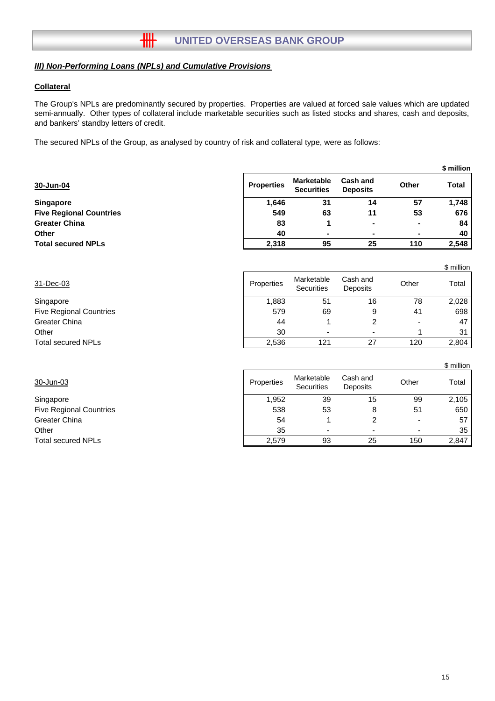卌

#### **Collateral**

The Group's NPLs are predominantly secured by properties. Properties are valued at forced sale values which are updated semi-annually. Other types of collateral include marketable securities such as listed stocks and shares, cash and deposits, and bankers' standby letters of credit.

The secured NPLs of the Group, as analysed by country of risk and collateral type, were as follows:

|                                |                   |                                        |                                    |                          | JUUUTUU      |
|--------------------------------|-------------------|----------------------------------------|------------------------------------|--------------------------|--------------|
| 30-Jun-04                      | <b>Properties</b> | <b>Marketable</b><br><b>Securities</b> | <b>Cash and</b><br><b>Deposits</b> | <b>Other</b>             | <b>Total</b> |
| <b>Singapore</b>               | 1,646             | 31                                     | 14                                 | 57                       | 1,748        |
| <b>Five Regional Countries</b> | 549               | 63                                     | 11                                 | 53                       | 676          |
| <b>Greater China</b>           | 83                |                                        | ۰                                  | $\overline{\phantom{a}}$ | 84           |
| Other                          | 40                | -                                      |                                    |                          | 40           |
| <b>Total secured NPLs</b>      | 2.318             | 95                                     | 25                                 | 110                      | 2,548        |
|                                |                   |                                        |                                    |                          |              |

| 31-Dec-03                      | Properties | Marketable<br><b>Securities</b> | Cash and<br><b>Deposits</b> | Other                    | Total           |
|--------------------------------|------------|---------------------------------|-----------------------------|--------------------------|-----------------|
| Singapore                      | 1,883      | 51                              | 16                          | 78                       | 2,028           |
| <b>Five Regional Countries</b> | 579        | 69                              | 9                           | 41                       | 698             |
| Greater China                  | 44         |                                 | ⌒                           | $\overline{\phantom{0}}$ | 47              |
| Other                          | 30         |                                 |                             |                          | 31 <sup>1</sup> |
| <b>Total secured NPLs</b>      | 2,536      | 121                             |                             | 120                      | 2,804           |

|                                |            |                          |                      |                | \$ million |
|--------------------------------|------------|--------------------------|----------------------|----------------|------------|
| 30-Jun-03                      | Properties | Marketable<br>Securities | Cash and<br>Deposits | Other          | Total      |
| Singapore                      | 1,952      | 39                       | 15                   | 99             | 2,105      |
| <b>Five Regional Countries</b> | 538        | 53                       | 8                    | 51             | 650        |
| Greater China                  | 54         |                          |                      | $\blacksquare$ | 57         |
| Other                          | 35         |                          |                      |                | 35         |
| Total secured NPLs             | 2,579      | 93                       | 25                   | 150            | 2,847      |
|                                |            |                          |                      |                |            |

**\$ million**

\$ million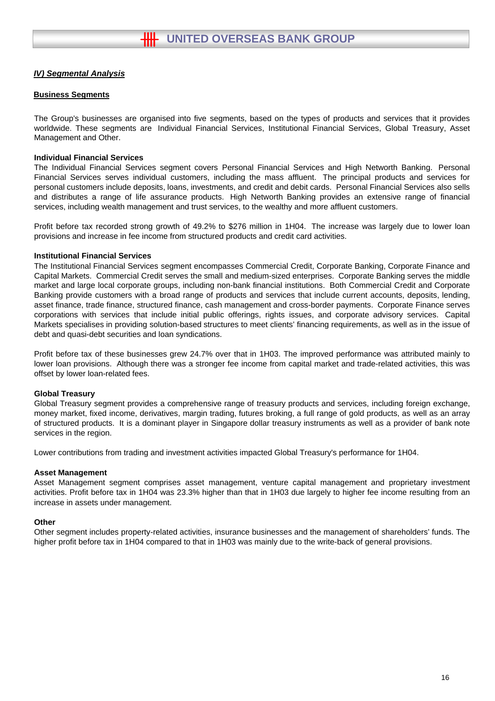#### **Business Segments**

The Group's businesses are organised into five segments, based on the types of products and services that it provides worldwide. These segments are Individual Financial Services, Institutional Financial Services, Global Treasury, Asset Management and Other.

#### **Individual Financial Services**

The Individual Financial Services segment covers Personal Financial Services and High Networth Banking. Personal Financial Services serves individual customers, including the mass affluent. The principal products and services for personal customers include deposits, loans, investments, and credit and debit cards. Personal Financial Services also sells and distributes a range of life assurance products. High Networth Banking provides an extensive range of financial services, including wealth management and trust services, to the wealthy and more affluent customers.

Profit before tax recorded strong growth of 49.2% to \$276 million in 1H04. The increase was largely due to lower loan provisions and increase in fee income from structured products and credit card activities.

#### **Institutional Financial Services**

The Institutional Financial Services segment encompasses Commercial Credit, Corporate Banking, Corporate Finance and Capital Markets. Commercial Credit serves the small and medium-sized enterprises. Corporate Banking serves the middle market and large local corporate groups, including non-bank financial institutions. Both Commercial Credit and Corporate Banking provide customers with a broad range of products and services that include current accounts, deposits, lending, asset finance, trade finance, structured finance, cash management and cross-border payments. Corporate Finance serves corporations with services that include initial public offerings, rights issues, and corporate advisory services. Capital Markets specialises in providing solution-based structures to meet clients' financing requirements, as well as in the issue of debt and quasi-debt securities and loan syndications.

Profit before tax of these businesses grew 24.7% over that in 1H03. The improved performance was attributed mainly to lower loan provisions. Although there was a stronger fee income from capital market and trade-related activities, this was offset by lower loan-related fees.

#### **Global Treasury**

Global Treasury segment provides a comprehensive range of treasury products and services, including foreign exchange, money market, fixed income, derivatives, margin trading, futures broking, a full range of gold products, as well as an array of structured products. It is a dominant player in Singapore dollar treasury instruments as well as a provider of bank note services in the region.

Lower contributions from trading and investment activities impacted Global Treasury's performance for 1H04.

#### **Asset Management**

Asset Management segment comprises asset management, venture capital management and proprietary investment activities. Profit before tax in 1H04 was 23.3% higher than that in 1H03 due largely to higher fee income resulting from an increase in assets under management.

#### **Other**

Other segment includes property-related activities, insurance businesses and the management of shareholders' funds. The higher profit before tax in 1H04 compared to that in 1H03 was mainly due to the write-back of general provisions.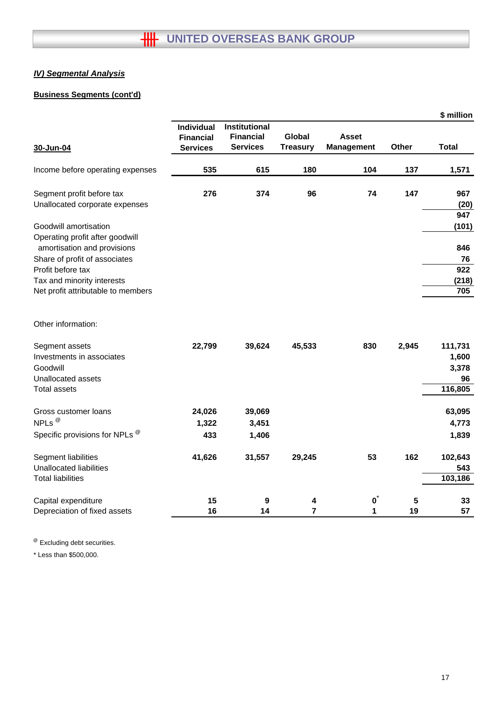## **Business Segments (cont'd)**

|                                                     |                                                          |                                                      |                                  |                                   |         | \$ million   |
|-----------------------------------------------------|----------------------------------------------------------|------------------------------------------------------|----------------------------------|-----------------------------------|---------|--------------|
|                                                     | <b>Individual</b><br><b>Financial</b><br><b>Services</b> | Institutional<br><b>Financial</b><br><b>Services</b> | <b>Global</b><br><b>Treasury</b> | <b>Asset</b><br><b>Management</b> | Other   | <b>Total</b> |
| 30-Jun-04                                           |                                                          |                                                      |                                  |                                   |         |              |
| Income before operating expenses                    | 535                                                      | 615                                                  | 180                              | 104                               | 137     | 1,571        |
| Segment profit before tax                           | 276                                                      | 374                                                  | 96                               | 74                                | 147     | 967          |
| Unallocated corporate expenses                      |                                                          |                                                      |                                  |                                   |         | (20)         |
| Goodwill amortisation                               |                                                          |                                                      |                                  |                                   |         | 947<br>(101) |
| Operating profit after goodwill                     |                                                          |                                                      |                                  |                                   |         |              |
| amortisation and provisions                         |                                                          |                                                      |                                  |                                   |         | 846          |
| Share of profit of associates                       |                                                          |                                                      |                                  |                                   |         | 76           |
| Profit before tax                                   |                                                          |                                                      |                                  |                                   |         | 922          |
| Tax and minority interests                          |                                                          |                                                      |                                  |                                   |         | (218)<br>705 |
| Net profit attributable to members                  |                                                          |                                                      |                                  |                                   |         |              |
| Other information:                                  |                                                          |                                                      |                                  |                                   |         |              |
| Segment assets                                      | 22,799                                                   | 39,624                                               | 45,533                           | 830                               | 2,945   | 111,731      |
| Investments in associates                           |                                                          |                                                      |                                  |                                   |         | 1,600        |
| Goodwill                                            |                                                          |                                                      |                                  |                                   |         | 3,378        |
| Unallocated assets                                  |                                                          |                                                      |                                  |                                   |         | 96           |
| <b>Total assets</b>                                 |                                                          |                                                      |                                  |                                   |         | 116,805      |
| Gross customer loans                                | 24,026                                                   | 39,069                                               |                                  |                                   |         | 63,095       |
| NPLs <sup>@</sup>                                   | 1,322                                                    | 3,451                                                |                                  |                                   |         | 4,773        |
| Specific provisions for NPLs <sup>®</sup>           | 433                                                      | 1,406                                                |                                  |                                   |         | 1,839        |
| Segment liabilities                                 | 41,626                                                   | 31,557                                               | 29,245                           | 53                                | 162     | 102,643      |
| <b>Unallocated liabilities</b>                      |                                                          |                                                      |                                  |                                   |         | 543          |
| <b>Total liabilities</b>                            |                                                          |                                                      |                                  |                                   |         | 103,186      |
|                                                     | 15                                                       |                                                      |                                  | $\mathbf{0}^*$                    |         |              |
| Capital expenditure<br>Depreciation of fixed assets | 16                                                       | 9<br>14                                              | 4<br>$\overline{7}$              | 1                                 | 5<br>19 | 33<br>57     |
|                                                     |                                                          |                                                      |                                  |                                   |         |              |

@ Excluding debt securities.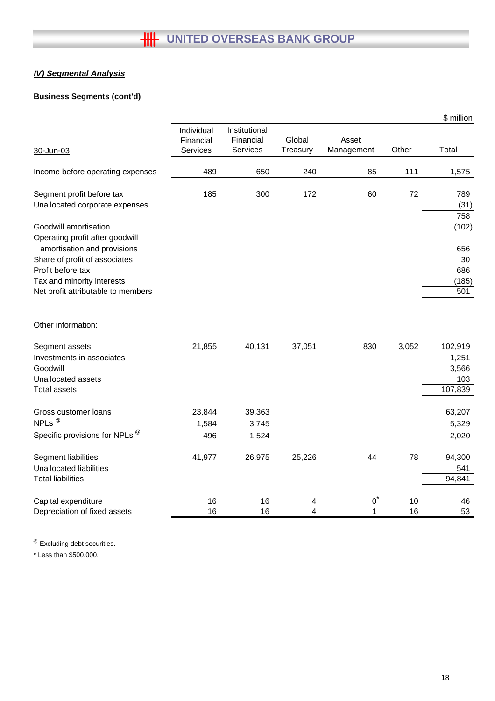## **Business Segments (cont'd)**

|                                                 |                                     |                                        |                    |                     |       | \$ million       |
|-------------------------------------------------|-------------------------------------|----------------------------------------|--------------------|---------------------|-------|------------------|
| 30-Jun-03                                       | Individual<br>Financial<br>Services | Institutional<br>Financial<br>Services | Global<br>Treasury | Asset<br>Management | Other | Total            |
|                                                 |                                     |                                        |                    |                     |       |                  |
| Income before operating expenses                | 489                                 | 650                                    | 240                | 85                  | 111   | 1,575            |
| Segment profit before tax                       | 185                                 | 300                                    | 172                | 60                  | 72    | 789              |
| Unallocated corporate expenses                  |                                     |                                        |                    |                     |       | (31)             |
| Goodwill amortisation                           |                                     |                                        |                    |                     |       | 758<br>(102)     |
| Operating profit after goodwill                 |                                     |                                        |                    |                     |       |                  |
| amortisation and provisions                     |                                     |                                        |                    |                     |       | 656              |
| Share of profit of associates                   |                                     |                                        |                    |                     |       | 30               |
| Profit before tax<br>Tax and minority interests |                                     |                                        |                    |                     |       | 686<br>(185)     |
| Net profit attributable to members              |                                     |                                        |                    |                     |       | 501              |
| Other information:                              |                                     |                                        |                    |                     |       |                  |
|                                                 |                                     |                                        |                    |                     |       |                  |
| Segment assets<br>Investments in associates     | 21,855                              | 40,131                                 | 37,051             | 830                 | 3,052 | 102,919<br>1,251 |
| Goodwill                                        |                                     |                                        |                    |                     |       | 3,566            |
| Unallocated assets                              |                                     |                                        |                    |                     |       | 103              |
| <b>Total assets</b>                             |                                     |                                        |                    |                     |       | 107,839          |
| Gross customer loans                            | 23,844                              | 39,363                                 |                    |                     |       | 63,207           |
| NPLs <sup>@</sup>                               | 1,584                               | 3,745                                  |                    |                     |       | 5,329            |
| Specific provisions for NPLs ®                  | 496                                 | 1,524                                  |                    |                     |       | 2,020            |
| Segment liabilities                             | 41,977                              | 26,975                                 | 25,226             | 44                  | 78    | 94,300           |
| <b>Unallocated liabilities</b>                  |                                     |                                        |                    |                     |       | 541              |
| <b>Total liabilities</b>                        |                                     |                                        |                    |                     |       | 94,841           |
| Capital expenditure                             | 16                                  | 16                                     | 4                  | $0^*$               | 10    | 46               |
| Depreciation of fixed assets                    | 16                                  | 16                                     | 4                  | $\mathbf{1}$        | 16    | 53               |

<sup>@</sup> Excluding debt securities.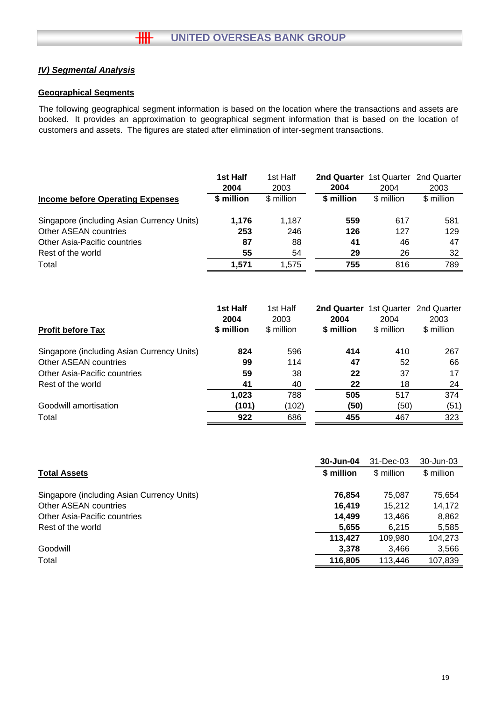#### **Geographical Segments**

The following geographical segment information is based on the location where the transactions and assets are booked. It provides an approximation to geographical segment information that is based on the location of customers and assets. The figures are stated after elimination of inter-segment transactions.

|                                            | 1st Half   | 1st Half   | <b>2nd Quarter</b> 1st Quarter 2nd Quarter |            |            |
|--------------------------------------------|------------|------------|--------------------------------------------|------------|------------|
|                                            | 2004       | 2003       | 2004                                       | 2004       | 2003       |
| Income before Operating Expenses           | \$ million | \$ million | \$ million                                 | \$ million | \$ million |
| Singapore (including Asian Currency Units) | 1.176      | 1.187      | 559                                        | 617        | 581        |
| Other ASEAN countries                      | 253        | 246        | 126                                        | 127        | 129        |
| <b>Other Asia-Pacific countries</b>        | 87         | 88         | 41                                         | 46         | 47         |
| Rest of the world                          | 55         | 54         | 29                                         | 26         | 32         |
| Total                                      | 1.571      | 1.575      | 755                                        | 816        | 789        |

|                                            | 1st Half<br>2004 | 1st Half<br>2003 | 2nd Quarter 1st Quarter<br>2004 | 2004       | 2nd Quarter<br>2003 |
|--------------------------------------------|------------------|------------------|---------------------------------|------------|---------------------|
| <b>Profit before Tax</b>                   | \$ million       | \$ million       | \$ million                      | \$ million | \$ million          |
| Singapore (including Asian Currency Units) | 824              | 596              | 414                             | 410        | 267                 |
| Other ASEAN countries                      | 99               | 114              | 47                              | 52         | 66                  |
| <b>Other Asia-Pacific countries</b>        | 59               | 38               | 22                              | 37         | 17                  |
| Rest of the world                          | 41               | 40               | 22                              | 18         | 24                  |
|                                            | 1,023            | 788              | 505                             | 517        | 374                 |
| Goodwill amortisation                      | (101)            | (102)            | (50)                            | (50)       | (51)                |
| Total                                      | 922              | 686              | 455                             | 467        | 323                 |

|                                            | 30-Jun-04  | 31-Dec-03  | 30-Jun-03  |
|--------------------------------------------|------------|------------|------------|
| <b>Total Assets</b>                        | \$ million | \$ million | \$ million |
| Singapore (including Asian Currency Units) | 76.854     | 75.087     | 75,654     |
| Other ASEAN countries                      | 16.419     | 15.212     | 14,172     |
| <b>Other Asia-Pacific countries</b>        | 14,499     | 13.466     | 8,862      |
| Rest of the world                          | 5,655      | 6.215      | 5,585      |
|                                            | 113.427    | 109.980    | 104,273    |
| Goodwill                                   | 3,378      | 3,466      | 3,566      |
| Total                                      | 116,805    | 113.446    | 107,839    |
|                                            |            |            |            |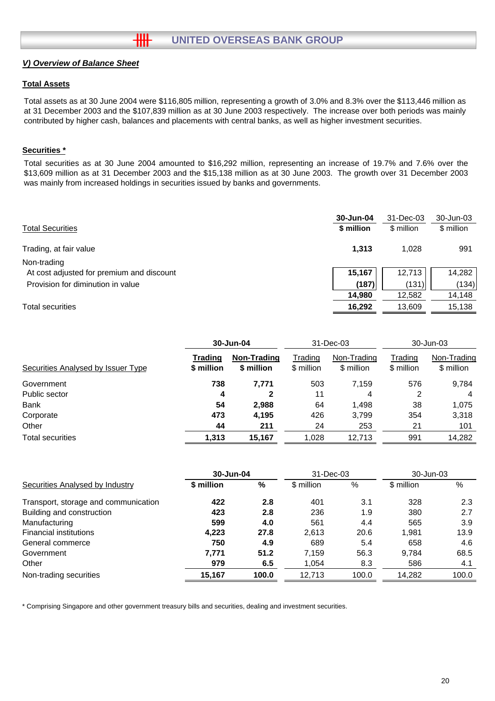#### **Total Assets**

Total assets as at 30 June 2004 were \$116,805 million, representing a growth of 3.0% and 8.3% over the \$113,446 million as at 31 December 2003 and the \$107,839 million as at 30 June 2003 respectively. The increase over both periods was mainly contributed by higher cash, balances and placements with central banks, as well as higher investment securities.

#### **Securities \***

Total securities as at 30 June 2004 amounted to \$16,292 million, representing an increase of 19.7% and 7.6% over the \$13,609 million as at 31 December 2003 and the \$15,138 million as at 30 June 2003. The growth over 31 December 2003 was mainly from increased holdings in securities issued by banks and governments.

|                                           | 30-Jun-04  | 31-Dec-03  | 30-Jun-03  |
|-------------------------------------------|------------|------------|------------|
| <b>Total Securities</b>                   | \$ million | \$ million | \$ million |
| Trading, at fair value                    | 1,313      | 1.028      | 991        |
| Non-trading                               |            |            |            |
| At cost adjusted for premium and discount | 15,167     | 12,713     | 14,282     |
| Provision for diminution in value         | (187)      | (131)      | (134)      |
|                                           | 14,980     | 12,582     | 14,148     |
| <b>Total securities</b>                   | 16,292     | 13,609     | 15,138     |

|                                    | 30-Jun-04             |                           | 31-Dec-03             |                           | 30-Jun-03             |                           |
|------------------------------------|-----------------------|---------------------------|-----------------------|---------------------------|-----------------------|---------------------------|
| Securities Analysed by Issuer Type | Trading<br>\$ million | Non-Trading<br>\$ million | Trading<br>\$ million | Non-Trading<br>\$ million | Trading<br>\$ million | Non-Trading<br>\$ million |
| Government                         | 738                   | 7.771                     | 503                   | 7.159                     | 576                   | 9,784                     |
| Public sector                      | 4                     | $\mathbf{2}$              | 11                    | 4                         | 2                     | 4                         |
| <b>Bank</b>                        | 54                    | 2,988                     | 64                    | 1,498                     | 38                    | 1.075                     |
| Corporate                          | 473                   | 4,195                     | 426                   | 3,799                     | 354                   | 3,318                     |
| Other                              | 44                    | 211                       | 24                    | 253                       | 21                    | 101                       |
| <b>Total securities</b>            | 1,313                 | 15,167                    | 1,028                 | 12,713                    | 991                   | 14,282                    |

|                                      | 30-Jun-04  |       | 31-Dec-03  |       | 30-Jun-03  |       |
|--------------------------------------|------------|-------|------------|-------|------------|-------|
| Securities Analysed by Industry      | \$ million | %     | \$ million | %     | \$ million | %     |
| Transport, storage and communication | 422        | 2.8   | 401        | 3.1   | 328        | 2.3   |
| Building and construction            | 423        | 2.8   | 236        | 1.9   | 380        | 2.7   |
| Manufacturing                        | 599        | 4.0   | 561        | 4.4   | 565        | 3.9   |
| <b>Financial institutions</b>        | 4,223      | 27.8  | 2.613      | 20.6  | 1.981      | 13.9  |
| General commerce                     | 750        | 4.9   | 689        | 5.4   | 658        | 4.6   |
| Government                           | 7.771      | 51.2  | 7.159      | 56.3  | 9.784      | 68.5  |
| Other                                | 979        | 6.5   | 1,054      | 8.3   | 586        | 4.1   |
| Non-trading securities               | 15,167     | 100.0 | 12,713     | 100.0 | 14,282     | 100.0 |

\* Comprising Singapore and other government treasury bills and securities, dealing and investment securities.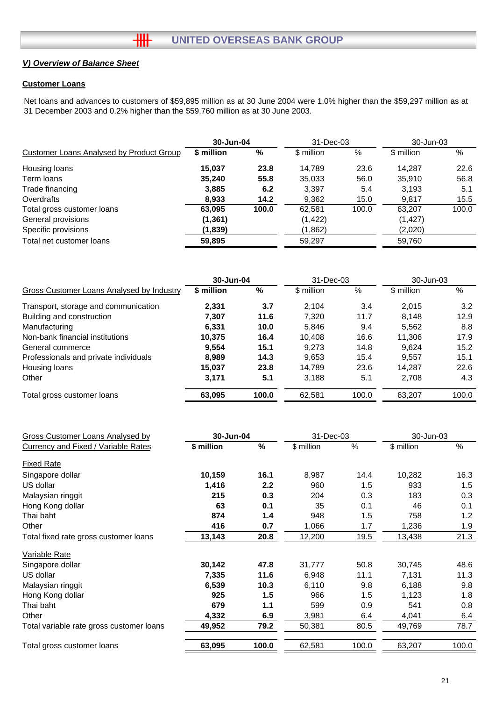#### **Customer Loans**

Net loans and advances to customers of \$59,895 million as at 30 June 2004 were 1.0% higher than the \$59,297 million as at 31 December 2003 and 0.2% higher than the \$59,760 million as at 30 June 2003.

|                                          | 30-Jun-04            |       | 31-Dec-03  |          | 30-Jun-03  |       |
|------------------------------------------|----------------------|-------|------------|----------|------------|-------|
| Customer Loans Analysed by Product Group | \$ million           | %     | \$ million | %        | \$ million | %     |
| Housing loans                            | 15.037               | 23.8  | 14.789     | 23.6     | 14.287     | 22.6  |
| Term Ioans                               | 35,240               | 55.8  | 35,033     | 56.0     | 35.910     | 56.8  |
| Trade financing                          | 3,885                | 6.2   | 3,397      | 5.4      | 3,193      | 5.1   |
| Overdrafts                               | 8,933                | 14.2  | 9,362      | 15.0     | 9,817      | 15.5  |
| Total gross customer loans               | 63,095               | 100.0 | 62,581     | 100.0    | 63.207     | 100.0 |
| General provisions                       | (1, 422)<br>(1, 361) |       |            | (1, 427) |            |       |
| Specific provisions                      | (1,839)              |       | (1,862)    |          | (2,020)    |       |
| Total net customer loans                 | 59,895               |       | 59,297     |          | 59,760     |       |

|                                           | 30-Jun-04  |       | 31-Dec-03  |       | 30-Jun-03  |       |
|-------------------------------------------|------------|-------|------------|-------|------------|-------|
| Gross Customer Loans Analysed by Industry | \$ million | %     | \$ million | %     | \$ million | %     |
| Transport, storage and communication      | 2.331      | 3.7   | 2.104      | 3.4   | 2,015      | 3.2   |
| Building and construction                 | 7,307      | 11.6  | 7.320      | 11.7  | 8.148      | 12.9  |
| Manufacturing                             | 6,331      | 10.0  | 5,846      | 9.4   | 5,562      | 8.8   |
| Non-bank financial institutions           | 10.375     | 16.4  | 10.408     | 16.6  | 11.306     | 17.9  |
| General commerce                          | 9.554      | 15.1  | 9.273      | 14.8  | 9.624      | 15.2  |
| Professionals and private individuals     | 8.989      | 14.3  | 9,653      | 15.4  | 9.557      | 15.1  |
| Housing loans                             | 15.037     | 23.8  | 14.789     | 23.6  | 14.287     | 22.6  |
| Other                                     | 3,171      | 5.1   | 3,188      | 5.1   | 2,708      | 4.3   |
| Total gross customer loans                | 63,095     | 100.0 | 62,581     | 100.0 | 63,207     | 100.0 |

| Gross Customer Loans Analysed by         |            | 30-Jun-04     |            | 31-Dec-03 |            | 30-Jun-03 |  |
|------------------------------------------|------------|---------------|------------|-----------|------------|-----------|--|
| Currency and Fixed / Variable Rates      | \$ million | $\frac{9}{6}$ | \$ million | %         | \$ million | $\%$      |  |
| <b>Fixed Rate</b>                        |            |               |            |           |            |           |  |
| Singapore dollar                         | 10,159     | 16.1          | 8,987      | 14.4      | 10,282     | 16.3      |  |
| US dollar                                | 1,416      | 2.2           | 960        | 1.5       | 933        | 1.5       |  |
| Malaysian ringgit                        | 215        | 0.3           | 204        | 0.3       | 183        | 0.3       |  |
| Hong Kong dollar                         | 63         | 0.1           | 35         | 0.1       | 46         | 0.1       |  |
| Thai baht                                | 874        | 1.4           | 948        | 1.5       | 758        | 1.2       |  |
| Other                                    | 416        | 0.7           | 1,066      | 1.7       | 1,236      | 1.9       |  |
| Total fixed rate gross customer loans    | 13,143     | 20.8          | 12,200     | 19.5      | 13,438     | 21.3      |  |
| Variable Rate                            |            |               |            |           |            |           |  |
| Singapore dollar                         | 30,142     | 47.8          | 31,777     | 50.8      | 30,745     | 48.6      |  |
| US dollar                                | 7,335      | 11.6          | 6,948      | 11.1      | 7,131      | 11.3      |  |
| Malaysian ringgit                        | 6,539      | 10.3          | 6,110      | 9.8       | 6,188      | 9.8       |  |
| Hong Kong dollar                         | 925        | 1.5           | 966        | 1.5       | 1,123      | 1.8       |  |
| Thai baht                                | 679        | 1.1           | 599        | 0.9       | 541        | 0.8       |  |
| Other                                    | 4,332      | 6.9           | 3,981      | 6.4       | 4,041      | 6.4       |  |
| Total variable rate gross customer loans | 49,952     | 79.2          | 50,381     | 80.5      | 49,769     | 78.7      |  |
| Total gross customer loans               | 63,095     | 100.0         | 62,581     | 100.0     | 63,207     | 100.0     |  |
|                                          |            |               |            |           |            |           |  |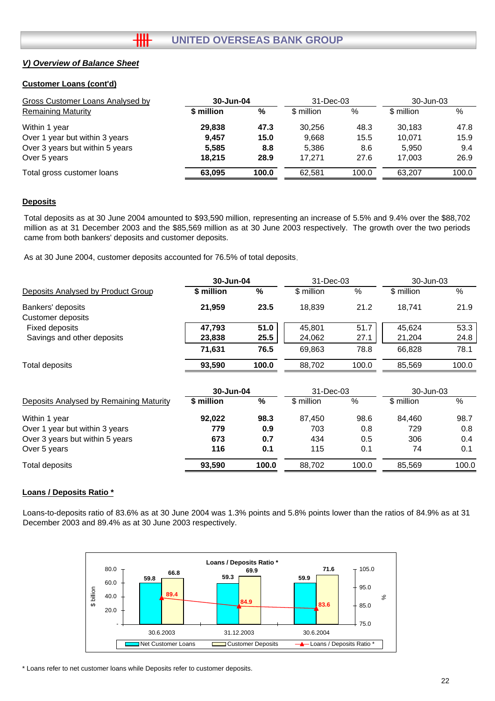#### **Customer Loans (cont'd)**

| Gross Customer Loans Analysed by | 30-Jun-04  |       | 31-Dec-03  |       | 30-Jun-03  |       |
|----------------------------------|------------|-------|------------|-------|------------|-------|
| <b>Remaining Maturity</b>        | \$ million | %     | \$ million | $\%$  | \$ million | %     |
| Within 1 year                    | 29,838     | 47.3  | 30.256     | 48.3  | 30,183     | 47.8  |
| Over 1 year but within 3 years   | 9.457      | 15.0  | 9,668      | 15.5  | 10.071     | 15.9  |
| Over 3 years but within 5 years  | 5,585      | 8.8   | 5,386      | 8.6   | 5.950      | 9.4   |
| Over 5 years                     | 18.215     | 28.9  | 17.271     | 27.6  | 17.003     | 26.9  |
| Total gross customer loans       | 63.095     | 100.0 | 62.581     | 100.0 | 63.207     | 100.0 |

#### **Deposits**

Total deposits as at 30 June 2004 amounted to \$93,590 million, representing an increase of 5.5% and 9.4% over the \$88,702 million as at 31 December 2003 and the \$85,569 million as at 30 June 2003 respectively. The growth over the two periods came from both bankers' deposits and customer deposits.

As at 30 June 2004, customer deposits accounted for 76.5% of total deposits .

╫╫

|                                        | 30-Jun-04  |       | 31-Dec-03  |       | $30 - Jun-03$ |       |
|----------------------------------------|------------|-------|------------|-------|---------------|-------|
| Deposits Analysed by Product Group     | \$ million | %     | \$ million | %     | \$ million    | %     |
| Bankers' deposits<br>Customer deposits | 21.959     | 23.5  | 18.839     | 21.2  | 18.741        | 21.9  |
| Fixed deposits                         | 47.793     | 51.0  | 45.801     | 51.7  | 45.624        | 53.3  |
| Savings and other deposits             | 23,838     | 25.5  | 24,062     | 27.1  | 21,204        | 24.8  |
|                                        | 71.631     | 76.5  | 69.863     | 78.8  | 66.828        | 78.1  |
| Total deposits                         | 93.590     | 100.0 | 88.702     | 100.0 | 85.569        | 100.0 |

| 30-Jun-04  |       | 31-Dec-03  |       | 30-Jun-03  |       |
|------------|-------|------------|-------|------------|-------|
| \$ million | %     | \$ million | %     | \$ million | $\%$  |
| 92.022     | 98.3  | 87.450     | 98.6  | 84.460     | 98.7  |
| 779        | 0.9   | 703        | 0.8   | 729        | 0.8   |
| 673        | 0.7   | 434        | 0.5   | 306        | 0.4   |
| 116        | 0.1   | 115        | 0.1   | 74         | 0.1   |
| 93,590     | 100.0 | 88.702     | 100.0 | 85.569     | 100.0 |
|            |       |            |       |            |       |

#### **Loans / Deposits Ratio \***

Loans-to-deposits ratio of 83.6% as at 30 June 2004 was 1.3% points and 5.8% points lower than the ratios of 84.9% as at 31 December 2003 and 89.4% as at 30 June 2003 respectively.



\* Loans refer to net customer loans while Deposits refer to customer deposits.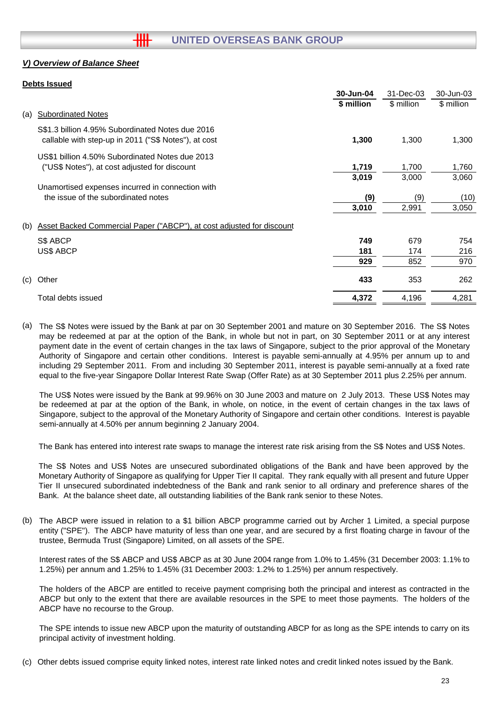#### **Debts Issued**

|              |                                                                       | 30-Jun-04  | 31-Dec-03  | 30-Jun-03  |
|--------------|-----------------------------------------------------------------------|------------|------------|------------|
|              |                                                                       | \$ million | \$ million | \$ million |
| (a)          | <b>Subordinated Notes</b>                                             |            |            |            |
|              | S\$1.3 billion 4.95% Subordinated Notes due 2016                      |            |            |            |
|              | callable with step-up in 2011 ("S\$ Notes"), at cost                  | 1,300      | 1,300      | 1,300      |
|              | US\$1 billion 4.50% Subordinated Notes due 2013                       |            |            |            |
|              | ("US\$ Notes"), at cost adjusted for discount                         | 1,719      | 1,700      | 1,760      |
|              |                                                                       | 3,019      | 3,000      | 3,060      |
|              | Unamortised expenses incurred in connection with                      |            |            |            |
|              | the issue of the subordinated notes                                   | (9)        | (9)        | (10)       |
|              |                                                                       | 3,010      | 2,991      | 3,050      |
| (b)          | Asset Backed Commercial Paper ("ABCP"), at cost adjusted for discount |            |            |            |
|              | S\$ ABCP                                                              | 749        | 679        | 754        |
|              | <b>US\$ ABCP</b>                                                      | 181        | 174        | 216        |
|              |                                                                       | 929        | 852        | 970        |
| (c)<br>Other |                                                                       | 433        | 353        | 262        |
|              | Total debts issued                                                    | 4,372      | 4,196      | 4,281      |

(a) The S\$ Notes were issued by the Bank at par on 30 September 2001 and mature on 30 September 2016. The S\$ Notes may be redeemed at par at the option of the Bank, in whole but not in part, on 30 September 2011 or at any interest payment date in the event of certain changes in the tax laws of Singapore, subject to the prior approval of the Monetary Authority of Singapore and certain other conditions. Interest is payable semi-annually at 4.95% per annum up to and including 29 September 2011. From and including 30 September 2011, interest is payable semi-annually at a fixed rate equal to the five-year Singapore Dollar Interest Rate Swap (Offer Rate) as at 30 September 2011 plus 2.25% per annum.

The US\$ Notes were issued by the Bank at 99.96% on 30 June 2003 and mature on 2 July 2013. These US\$ Notes may be redeemed at par at the option of the Bank, in whole, on notice, in the event of certain changes in the tax laws of Singapore, subject to the approval of the Monetary Authority of Singapore and certain other conditions. Interest is payable semi-annually at 4.50% per annum beginning 2 January 2004.

The Bank has entered into interest rate swaps to manage the interest rate risk arising from the S\$ Notes and US\$ Notes.

The S\$ Notes and US\$ Notes are unsecured subordinated obligations of the Bank and have been approved by the Monetary Authority of Singapore as qualifying for Upper Tier II capital. They rank equally with all present and future Upper Tier II unsecured subordinated indebtedness of the Bank and rank senior to all ordinary and preference shares of the Bank. At the balance sheet date, all outstanding liabilities of the Bank rank senior to these Notes.

(b) The ABCP were issued in relation to a \$1 billion ABCP programme carried out by Archer 1 Limited, a special purpose entity ("SPE"). The ABCP have maturity of less than one year, and are secured by a first floating charge in favour of the trustee, Bermuda Trust (Singapore) Limited, on all assets of the SPE.

Interest rates of the S\$ ABCP and US\$ ABCP as at 30 June 2004 range from 1.0% to 1.45% (31 December 2003: 1.1% to 1.25%) per annum and 1.25% to 1.45% (31 December 2003: 1.2% to 1.25%) per annum respectively.

The holders of the ABCP are entitled to receive payment comprising both the principal and interest as contracted in the ABCP but only to the extent that there are available resources in the SPE to meet those payments. The holders of the ABCP have no recourse to the Group.

The SPE intends to issue new ABCP upon the maturity of outstanding ABCP for as long as the SPE intends to carry on its principal activity of investment holding.

(c) Other debts issued comprise equity linked notes, interest rate linked notes and credit linked notes issued by the Bank.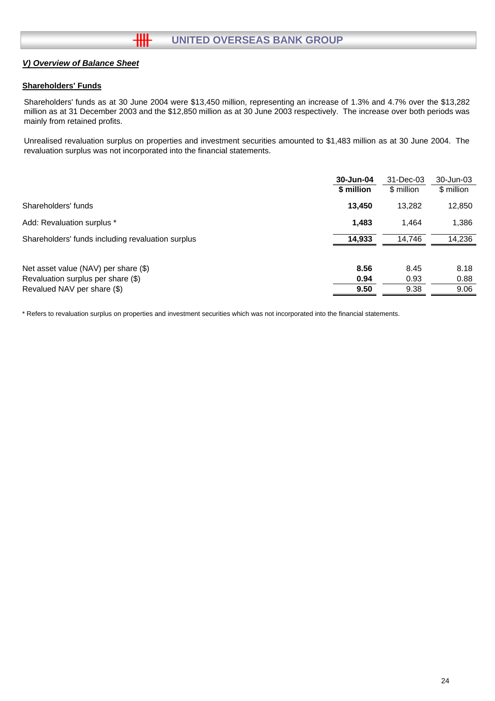#### **Shareholders' Funds**

Shareholders' funds as at 30 June 2004 were \$13,450 million, representing an increase of 1.3% and 4.7% over the \$13,282 million as at 31 December 2003 and the \$12,850 million as at 30 June 2003 respectively. The increase over both periods was mainly from retained profits.

Unrealised revaluation surplus on properties and investment securities amounted to \$1,483 million as at 30 June 2004. The revaluation surplus was not incorporated into the financial statements.

|                                                   | 30-Jun-04  | 31-Dec-03  | 30-Jun-03  |
|---------------------------------------------------|------------|------------|------------|
|                                                   | \$ million | \$ million | \$ million |
| Shareholders' funds                               | 13.450     | 13.282     | 12,850     |
| Add: Revaluation surplus *                        | 1,483      | 1.464      | 1,386      |
| Shareholders' funds including revaluation surplus | 14,933     | 14,746     | 14,236     |
| Net asset value (NAV) per share (\$)              | 8.56       | 8.45       | 8.18       |
| Revaluation surplus per share (\$)                | 0.94       | 0.93       | 0.88       |
| Revalued NAV per share (\$)                       | 9.50       | 9.38       | 9.06       |

\* Refers to revaluation surplus on properties and investment securities which was not incorporated into the financial statements.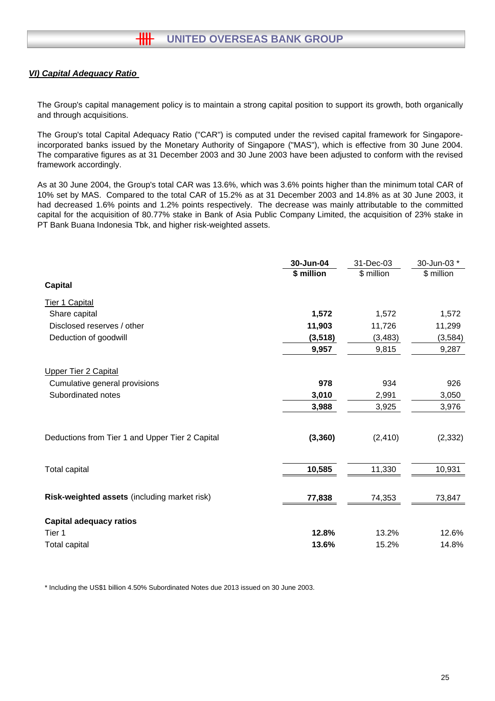#### *VI) Capital Adequacy Ratio*

The Group's capital management policy is to maintain a strong capital position to support its growth, both organically and through acquisitions.

The Group's total Capital Adequacy Ratio ("CAR") is computed under the revised capital framework for Singaporeincorporated banks issued by the Monetary Authority of Singapore ("MAS"), which is effective from 30 June 2004. The comparative figures as at 31 December 2003 and 30 June 2003 have been adjusted to conform with the revised framework accordingly.

As at 30 June 2004, the Group's total CAR was 13.6%, which was 3.6% points higher than the minimum total CAR of 10% set by MAS. Compared to the total CAR of 15.2% as at 31 December 2003 and 14.8% as at 30 June 2003, it had decreased 1.6% points and 1.2% points respectively. The decrease was mainly attributable to the committed capital for the acquisition of 80.77% stake in Bank of Asia Public Company Limited, the acquisition of 23% stake in PT Bank Buana Indonesia Tbk, and higher risk-weighted assets.

|                                                 | 30-Jun-04  | 31-Dec-03  | 30-Jun-03 * |
|-------------------------------------------------|------------|------------|-------------|
|                                                 | \$ million | \$ million | \$ million  |
| <b>Capital</b>                                  |            |            |             |
| <b>Tier 1 Capital</b>                           |            |            |             |
| Share capital                                   | 1,572      | 1,572      | 1,572       |
| Disclosed reserves / other                      | 11,903     | 11,726     | 11,299      |
| Deduction of goodwill                           | (3, 518)   | (3, 483)   | (3,584)     |
|                                                 | 9,957      | 9,815      | 9,287       |
| <b>Upper Tier 2 Capital</b>                     |            |            |             |
| Cumulative general provisions                   | 978        | 934        | 926         |
| Subordinated notes                              | 3,010      | 2,991      | 3,050       |
|                                                 | 3,988      | 3,925      | 3,976       |
|                                                 |            |            |             |
| Deductions from Tier 1 and Upper Tier 2 Capital | (3, 360)   | (2, 410)   | (2, 332)    |
|                                                 |            |            |             |
| Total capital                                   | 10,585     | 11,330     | 10,931      |
|                                                 |            |            |             |
| Risk-weighted assets (including market risk)    | 77,838     | 74,353     | 73,847      |
| <b>Capital adequacy ratios</b>                  |            |            |             |
| Tier 1                                          | 12.8%      | 13.2%      | 12.6%       |
| <b>Total capital</b>                            | 13.6%      | 15.2%      | 14.8%       |

\* Including the US\$1 billion 4.50% Subordinated Notes due 2013 issued on 30 June 2003.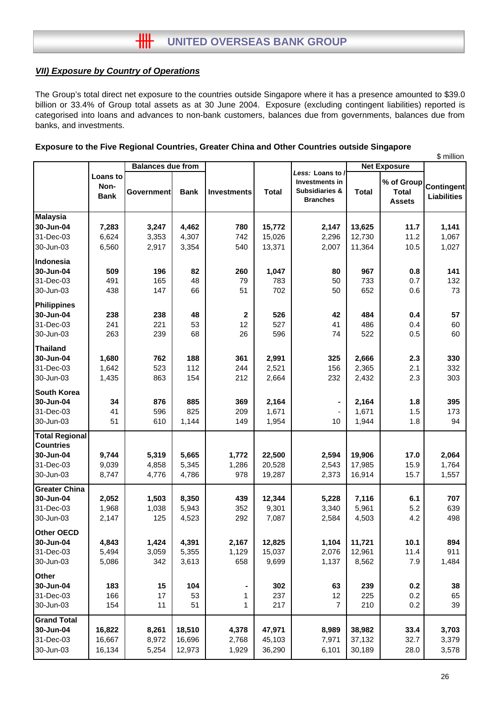## *VII) Exposure by Country of Operations*

The Group's total direct net exposure to the countries outside Singapore where it has a presence amounted to \$39.0 billion or 33.4% of Group total assets as at 30 June 2004. Exposure (excluding contingent liabilities) reported is categorised into loans and advances to non-bank customers, balances due from governments, balances due from banks, and investments.

| Exposure to the Five Regional Countries, Greater China and Other Countries outside Singapore |  |
|----------------------------------------------------------------------------------------------|--|

|                       |             |                          |             |                    | \$ million   |                                    |              |                               |                    |
|-----------------------|-------------|--------------------------|-------------|--------------------|--------------|------------------------------------|--------------|-------------------------------|--------------------|
|                       |             | <b>Balances due from</b> |             |                    |              | <b>Net Exposure</b>                |              |                               |                    |
|                       | Loans to    |                          |             |                    |              | Less: Loans to /<br>Investments in |              | % of Group                    |                    |
|                       | Non-        |                          |             | <b>Investments</b> |              | <b>Subsidiaries &amp;</b>          |              |                               | <b>Contingent</b>  |
|                       | <b>Bank</b> | <b>Government</b>        | <b>Bank</b> |                    | <b>Total</b> | <b>Branches</b>                    | <b>Total</b> | <b>Total</b><br><b>Assets</b> | <b>Liabilities</b> |
|                       |             |                          |             |                    |              |                                    |              |                               |                    |
| <b>Malaysia</b>       |             |                          |             |                    |              |                                    |              |                               |                    |
| 30-Jun-04             | 7,283       | 3,247                    | 4,462       | 780                | 15,772       | 2,147                              | 13,625       | 11.7                          | 1,141              |
| 31-Dec-03             | 6,624       | 3,353                    | 4,307       | 742                | 15,026       | 2,296                              | 12,730       | 11.2                          | 1,067              |
| 30-Jun-03             | 6,560       | 2,917                    | 3,354       | 540                | 13,371       | 2,007                              | 11,364       | 10.5                          | 1,027              |
| Indonesia             |             |                          |             |                    |              |                                    |              |                               |                    |
| 30-Jun-04             | 509         | 196                      | 82          | 260                | 1,047        | 80                                 | 967          | 0.8                           | 141                |
| 31-Dec-03             | 491         | 165                      | 48          | 79                 | 783          | 50                                 | 733          | 0.7                           | 132                |
| 30-Jun-03             | 438         | 147                      | 66          | 51                 | 702          | 50                                 | 652          | 0.6                           | 73                 |
| <b>Philippines</b>    |             |                          |             |                    |              |                                    |              |                               |                    |
| 30-Jun-04             | 238         | 238                      | 48          | $\mathbf{2}$       | 526          | 42                                 | 484          | 0.4                           | 57                 |
| 31-Dec-03             | 241         | 221                      | 53          | 12                 | 527          | 41                                 | 486          | 0.4                           | 60                 |
| 30-Jun-03             | 263         | 239                      | 68          | 26                 | 596          | 74                                 | 522          | 0.5                           | 60                 |
| <b>Thailand</b>       |             |                          |             |                    |              |                                    |              |                               |                    |
| 30-Jun-04             | 1,680       | 762                      | 188         | 361                | 2,991        | 325                                | 2,666        | 2.3                           | 330                |
| 31-Dec-03             | 1,642       | 523                      | 112         | 244                | 2,521        | 156                                | 2,365        | 2.1                           | 332                |
| 30-Jun-03             | 1,435       | 863                      | 154         | 212                | 2,664        | 232                                | 2,432        | 2.3                           | 303                |
|                       |             |                          |             |                    |              |                                    |              |                               |                    |
| <b>South Korea</b>    |             |                          |             |                    |              |                                    |              |                               |                    |
| 30-Jun-04             | 34          | 876                      | 885         | 369                | 2,164        |                                    | 2,164        | 1.8                           | 395                |
| 31-Dec-03             | 41          | 596                      | 825         | 209                | 1,671        |                                    | 1,671        | 1.5                           | 173                |
| 30-Jun-03             | 51          | 610                      | 1,144       | 149                | 1,954        | 10                                 | 1,944        | 1.8                           | 94                 |
| <b>Total Regional</b> |             |                          |             |                    |              |                                    |              |                               |                    |
| <b>Countries</b>      |             |                          |             |                    |              |                                    |              |                               |                    |
| 30-Jun-04             | 9,744       | 5,319                    | 5,665       | 1,772              | 22,500       | 2,594                              | 19,906       | 17.0                          | 2,064              |
| 31-Dec-03             | 9,039       | 4,858                    | 5,345       | 1,286              | 20,528       | 2,543                              | 17,985       | 15.9                          | 1,764              |
| 30-Jun-03             | 8,747       | 4,776                    | 4,786       | 978                | 19,287       | 2,373                              | 16,914       | 15.7                          | 1,557              |
| <b>Greater China</b>  |             |                          |             |                    |              |                                    |              |                               |                    |
| 30-Jun-04             | 2,052       | 1,503                    | 8,350       | 439                | 12,344       | 5,228                              | 7,116        | 6.1                           | 707                |
| 31-Dec-03             | 1,968       | 1,038                    | 5,943       | 352                | 9,301        | 3,340                              | 5,961        | 5.2                           | 639                |
| 30-Jun-03             | 2,147       | 125                      | 4,523       | 292                | 7,087        | 2,584                              | 4,503        | 4.2                           | 498                |
| Other OECD            |             |                          |             |                    |              |                                    |              |                               |                    |
| 30-Jun-04             | 4,843       | 1,424                    | 4,391       | 2,167              | 12,825       | 1,104                              | 11,721       | 10.1                          | 894                |
| 31-Dec-03             | 5,494       | 3,059                    | 5,355       | 1,129              | 15,037       | 2,076                              | 12,961       | 11.4                          | 911                |
| 30-Jun-03             | 5,086       | 342                      | 3,613       | 658                | 9,699        | 1,137                              | 8,562        | 7.9                           | 1,484              |
| <b>Other</b>          |             |                          |             |                    |              |                                    |              |                               |                    |
| 30-Jun-04             | 183         | 15                       | 104         |                    | 302          | 63                                 | 239          | 0.2                           | 38                 |
| 31-Dec-03             | 166         | 17                       | 53          | 1                  | 237          | 12                                 | 225          | 0.2                           | 65                 |
| 30-Jun-03             | 154         | 11                       | 51          | 1                  | 217          | $\overline{7}$                     | 210          | 0.2                           | 39                 |
| <b>Grand Total</b>    |             |                          |             |                    |              |                                    |              |                               |                    |
| 30-Jun-04             | 16,822      | 8,261                    | 18,510      | 4,378              | 47,971       | 8,989                              | 38,982       | 33.4                          | 3,703              |
| 31-Dec-03             | 16,667      | 8,972                    | 16,696      | 2,768              | 45,103       | 7,971                              | 37,132       | 32.7                          | 3,379              |
| 30-Jun-03             | 16,134      | 5,254                    | 12,973      | 1,929              | 36,290       | 6,101                              | 30,189       | 28.0                          | 3,578              |
|                       |             |                          |             |                    |              |                                    |              |                               |                    |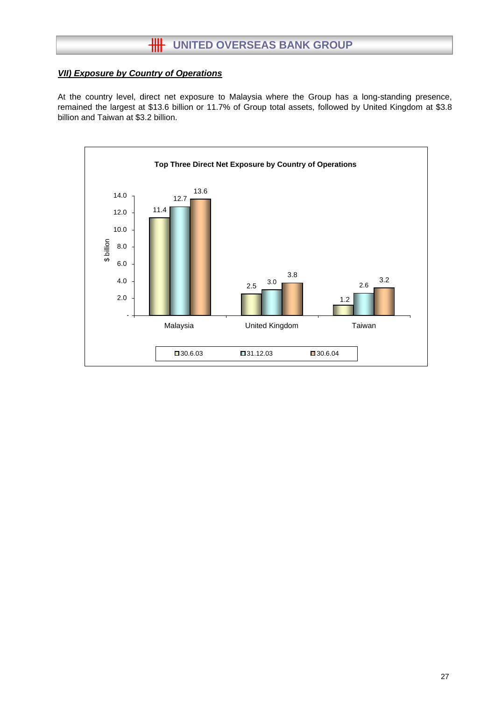## **HH** UNITED OVERSEAS BANK GROUP

#### *VII) Exposure by Country of Operations*

At the country level, direct net exposure to Malaysia where the Group has a long-standing presence, remained the largest at \$13.6 billion or 11.7% of Group total assets, followed by United Kingdom at \$3.8 billion and Taiwan at \$3.2 billion.

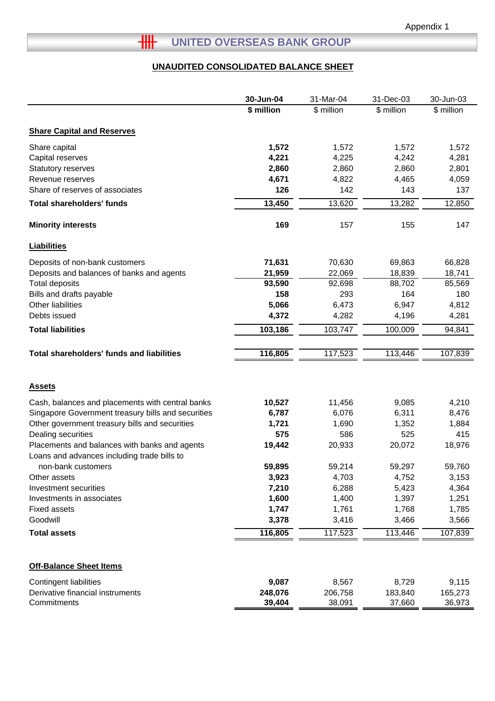# **THE UNITED OVERSEAS BANK GROUP**

## **UNAUDITED CONSOLIDATED BALANCE SHEET**

|                                                                   | 30-Jun-04  | 31-Mar-04  | 31-Dec-03  | 30-Jun-03  |
|-------------------------------------------------------------------|------------|------------|------------|------------|
|                                                                   | \$ million | \$ million | \$ million | \$ million |
| <b>Share Capital and Reserves</b>                                 |            |            |            |            |
| Share capital                                                     | 1,572      | 1,572      | 1,572      | 1,572      |
| Capital reserves                                                  | 4,221      | 4,225      | 4,242      | 4,281      |
| Statutory reserves                                                | 2,860      | 2,860      | 2,860      | 2,801      |
| Revenue reserves                                                  | 4,671      | 4,822      | 4,465      | 4,059      |
| Share of reserves of associates                                   | 126        | 142        | 143        | 137        |
| <b>Total shareholders' funds</b>                                  | 13,450     | 13,620     | 13,282     | 12,850     |
| <b>Minority interests</b>                                         | 169        | 157        | 155        | 147        |
| <b>Liabilities</b>                                                |            |            |            |            |
| Deposits of non-bank customers                                    | 71,631     | 70,630     | 69,863     | 66,828     |
| Deposits and balances of banks and agents                         | 21,959     | 22,069     | 18,839     | 18,741     |
| <b>Total deposits</b>                                             | 93,590     | 92,698     | 88,702     | 85,569     |
| Bills and drafts payable                                          | 158        | 293        | 164        | 180        |
| Other liabilities                                                 | 5,066      | 6,473      | 6,947      | 4,812      |
| Debts issued                                                      | 4,372      | 4,282      | 4,196      | 4,281      |
| <b>Total liabilities</b>                                          | 103,186    | 103,747    | 100,009    | 94,841     |
| <b>Total shareholders' funds and liabilities</b>                  | 116,805    | 117,523    | 113,446    | 107,839    |
| <b>Assets</b>                                                     |            |            |            |            |
| Cash, balances and placements with central banks                  | 10,527     | 11,456     | 9,085      | 4,210      |
| Singapore Government treasury bills and securities                | 6,787      | 6,076      | 6,311      | 8,476      |
| Other government treasury bills and securities                    | 1,721      | 1,690      | 1,352      | 1,884      |
| Dealing securities                                                | 575        | 586        | 525        | 415        |
| Placements and balances with banks and agents                     | 19,442     | 20,933     | 20,072     | 18,976     |
| Loans and advances including trade bills to<br>non-bank customers | 59,895     | 59,214     | 59,297     | 59,760     |
| Other assets                                                      | 3,923      | 4,703      | 4,752      | 3,153      |
| Investment securities                                             | 7,210      | 6,288      | 5,423      | 4,364      |
| Investments in associates                                         | 1,600      | 1,400      | 1,397      | 1,251      |
| <b>Fixed assets</b>                                               | 1,747      | 1,761      | 1,768      | 1,785      |
| Goodwill                                                          | 3,378      | 3,416      | 3,466      | 3,566      |
| <b>Total assets</b>                                               | 116,805    | 117,523    | 113,446    | 107,839    |
|                                                                   |            |            |            |            |
| <b>Off-Balance Sheet Items</b>                                    |            |            |            |            |
| <b>Contingent liabilities</b>                                     | 9,087      | 8,567      | 8,729      | 9,115      |
| Derivative financial instruments                                  | 248,076    | 206,758    | 183,840    | 165,273    |
| Commitments                                                       | 39,404     | 38,091     | 37,660     | 36,973     |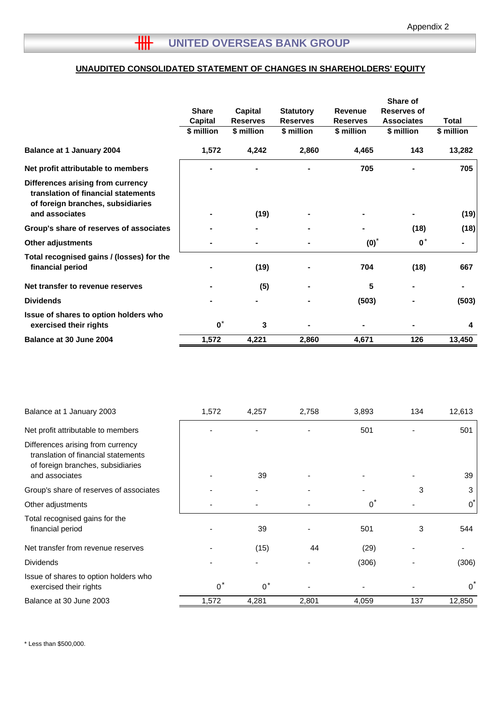## **UNAUDITED CONSOLIDATED STATEMENT OF CHANGES IN SHAREHOLDERS' EQUITY**

|                                                                                                               |                |                 |                  |                 | Share of           |              |
|---------------------------------------------------------------------------------------------------------------|----------------|-----------------|------------------|-----------------|--------------------|--------------|
|                                                                                                               | <b>Share</b>   | Capital         | <b>Statutory</b> | Revenue         | <b>Reserves of</b> |              |
|                                                                                                               | <b>Capital</b> | <b>Reserves</b> | <b>Reserves</b>  | <b>Reserves</b> | <b>Associates</b>  | <b>Total</b> |
|                                                                                                               | \$ million     | \$ million      | \$ million       | \$ million      | \$ million         | \$ million   |
| <b>Balance at 1 January 2004</b>                                                                              | 1,572          | 4,242           | 2,860            | 4,465           | 143                | 13,282       |
| Net profit attributable to members                                                                            |                |                 |                  | 705             |                    | 705          |
| Differences arising from currency<br>translation of financial statements<br>of foreign branches, subsidiaries |                |                 |                  |                 |                    |              |
| and associates                                                                                                |                | (19)            |                  |                 |                    | (19)         |
| Group's share of reserves of associates                                                                       |                |                 |                  |                 | (18)               | (18)         |
| <b>Other adjustments</b>                                                                                      |                |                 |                  | $(0)*$          | $\mathbf{0}^*$     |              |
| Total recognised gains / (losses) for the<br>financial period                                                 |                | (19)            |                  | 704             | (18)               | 667          |
| Net transfer to revenue reserves                                                                              |                | (5)             |                  | 5               |                    |              |
| <b>Dividends</b>                                                                                              |                |                 |                  | (503)           |                    | (503)        |
| Issue of shares to option holders who<br>exercised their rights                                               | $\mathbf{0}^*$ | 3               |                  |                 |                    | 4            |
| Balance at 30 June 2004                                                                                       | 1,572          | 4,221           | 2,860            | 4,671           | 126                | 13,450       |

| Balance at 1 January 2003                                                                                                       | 1,572 | 4,257 | 2,758 | 3,893 | 134 | 12,613         |
|---------------------------------------------------------------------------------------------------------------------------------|-------|-------|-------|-------|-----|----------------|
| Net profit attributable to members                                                                                              |       |       |       | 501   |     | 501            |
| Differences arising from currency<br>translation of financial statements<br>of foreign branches, subsidiaries<br>and associates |       | 39    |       |       |     | 39             |
|                                                                                                                                 |       |       |       |       |     |                |
| Group's share of reserves of associates                                                                                         |       |       |       |       | 3   | 3              |
| Other adjustments                                                                                                               |       |       |       | $0^*$ |     | $\overline{0}$ |
| Total recognised gains for the<br>financial period                                                                              |       | 39    |       | 501   | 3   | 544            |
| Net transfer from revenue reserves                                                                                              |       | (15)  | 44    | (29)  |     |                |
| <b>Dividends</b>                                                                                                                |       |       |       | (306) |     | (306)          |
| Issue of shares to option holders who<br>exercised their rights                                                                 | $0^*$ | $0^*$ |       |       |     | $\Omega$       |
| Balance at 30 June 2003                                                                                                         | 1,572 | 4,281 | 2,801 | 4,059 | 137 | 12,850         |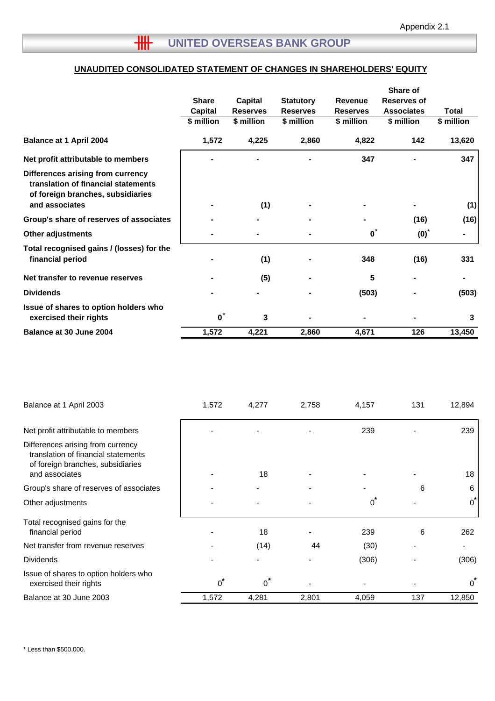## **UNAUDITED CONSOLIDATED STATEMENT OF CHANGES IN SHAREHOLDERS' EQUITY**

|                                                                                                                                 | <b>Share</b><br><b>Capital</b><br>\$ million | Capital<br><b>Reserves</b><br>\$ million | <b>Statutory</b><br><b>Reserves</b><br>\$ million | <b>Revenue</b><br><b>Reserves</b><br>\$ million | Share of<br>Reserves of<br><b>Associates</b><br>\$ million | Total<br>\$ million |
|---------------------------------------------------------------------------------------------------------------------------------|----------------------------------------------|------------------------------------------|---------------------------------------------------|-------------------------------------------------|------------------------------------------------------------|---------------------|
| <b>Balance at 1 April 2004</b>                                                                                                  | 1,572                                        | 4,225                                    | 2,860                                             | 4,822                                           | 142                                                        | 13,620              |
| Net profit attributable to members                                                                                              |                                              |                                          |                                                   | 347                                             |                                                            | 347                 |
| Differences arising from currency<br>translation of financial statements<br>of foreign branches, subsidiaries<br>and associates |                                              | (1)                                      |                                                   |                                                 |                                                            | (1)                 |
| Group's share of reserves of associates                                                                                         |                                              |                                          |                                                   |                                                 | (16)                                                       | (16)                |
| <b>Other adjustments</b>                                                                                                        |                                              |                                          |                                                   | $\mathbf{0}^*$                                  | $(0)*$                                                     | ۰                   |
| Total recognised gains / (losses) for the<br>financial period                                                                   |                                              | (1)                                      |                                                   | 348                                             | (16)                                                       | 331                 |
| Net transfer to revenue reserves                                                                                                |                                              | (5)                                      |                                                   | 5                                               |                                                            |                     |
| <b>Dividends</b>                                                                                                                |                                              |                                          |                                                   | (503)                                           |                                                            | (503)               |
| Issue of shares to option holders who<br>exercised their rights                                                                 | $\mathbf{0}^*$                               | 3                                        |                                                   |                                                 |                                                            | 3                   |
| Balance at 30 June 2004                                                                                                         | 1,572                                        | 4,221                                    | 2,860                                             | 4,671                                           | 126                                                        | 13,450              |

| Balance at 1 April 2003                                                                                                         | 1,572 | 4,277         | 2,758 | 4,157 | 131 | 12,894   |
|---------------------------------------------------------------------------------------------------------------------------------|-------|---------------|-------|-------|-----|----------|
| Net profit attributable to members                                                                                              |       |               |       | 239   |     | 239      |
| Differences arising from currency<br>translation of financial statements<br>of foreign branches, subsidiaries<br>and associates |       | 18            |       |       |     | 18       |
| Group's share of reserves of associates                                                                                         |       |               |       |       | 6   | 6        |
| Other adjustments                                                                                                               |       |               |       | $0^*$ |     | 0        |
| Total recognised gains for the<br>financial period                                                                              |       | 18            |       | 239   | 6   | 262      |
| Net transfer from revenue reserves                                                                                              |       | (14)          | 44    | (30)  |     |          |
| <b>Dividends</b>                                                                                                                |       |               |       | (306) |     | (306)    |
| Issue of shares to option holders who<br>exercised their rights                                                                 | $0^*$ | *<br>$\Omega$ |       |       |     | $\Omega$ |
| Balance at 30 June 2003                                                                                                         | 1,572 | 4,281         | 2,801 | 4,059 | 137 | 12,850   |